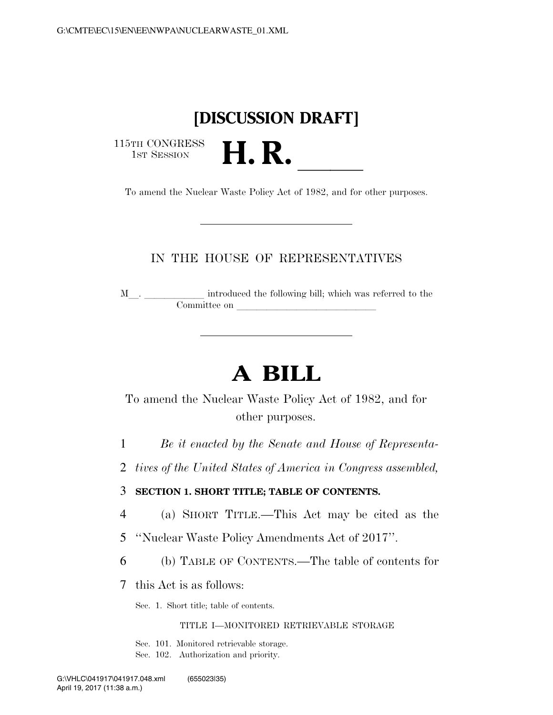## **[DISCUSSION DRAFT]**

115TH CONGRESS<br>1st Session

1st Session **H. R. Letter Session** To amend the Nuclear Waste Policy Act of 1982, and for other purposes.

## IN THE HOUSE OF REPRESENTATIVES

M<sub>\_\_\_</sub>. \_\_\_\_\_\_\_\_\_\_\_\_\_ introduced the following bill; which was referred to the Committee on

# **A BILL**

To amend the Nuclear Waste Policy Act of 1982, and for other purposes.

1 *Be it enacted by the Senate and House of Representa-*

2 *tives of the United States of America in Congress assembled,* 

3 **SECTION 1. SHORT TITLE; TABLE OF CONTENTS.** 

4 (a) SHORT TITLE.—This Act may be cited as the

5 ''Nuclear Waste Policy Amendments Act of 2017''.

6 (b) TABLE OF CONTENTS.—The table of contents for

7 this Act is as follows:

Sec. 1. Short title; table of contents.

### TITLE I—MONITORED RETRIEVABLE STORAGE

Sec. 101. Monitored retrievable storage.

Sec. 102. Authorization and priority.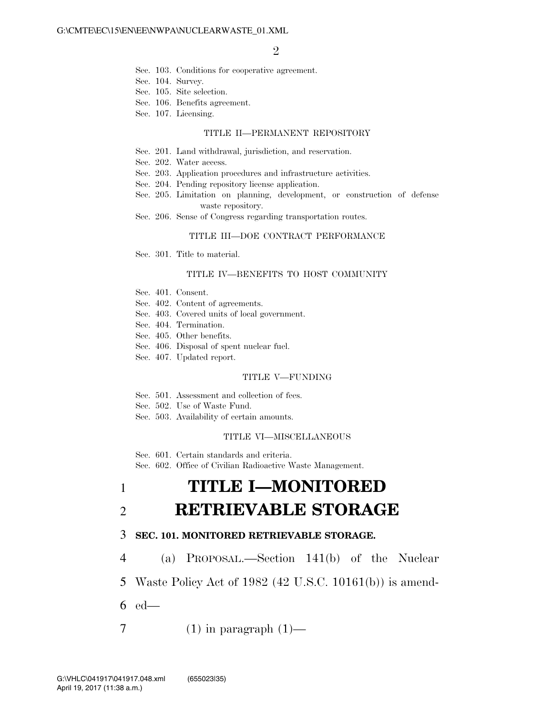- Sec. 103. Conditions for cooperative agreement.
- Sec. 104. Survey.
- Sec. 105. Site selection.
- Sec. 106. Benefits agreement.
- Sec. 107. Licensing.

#### TITLE II—PERMANENT REPOSITORY

- Sec. 201. Land withdrawal, jurisdiction, and reservation.
- Sec. 202. Water access.
- Sec. 203. Application procedures and infrastructure activities.
- Sec. 204. Pending repository license application.
- Sec. 205. Limitation on planning, development, or construction of defense waste repository.
- Sec. 206. Sense of Congress regarding transportation routes.

#### TITLE III—DOE CONTRACT PERFORMANCE

Sec. 301. Title to material.

### TITLE IV—BENEFITS TO HOST COMMUNITY

- Sec. 401. Consent.
- Sec. 402. Content of agreements.
- Sec. 403. Covered units of local government.
- Sec. 404. Termination.
- Sec. 405. Other benefits.
- Sec. 406. Disposal of spent nuclear fuel.
- Sec. 407. Updated report.

### TITLE V—FUNDING

- Sec. 501. Assessment and collection of fees.
- Sec. 502. Use of Waste Fund.
- Sec. 503. Availability of certain amounts.

#### TITLE VI—MISCELLANEOUS

Sec. 601. Certain standards and criteria.

Sec. 602. Office of Civilian Radioactive Waste Management.

# 1 **TITLE I—MONITORED**  2 **RETRIEVABLE STORAGE**

### 3 **SEC. 101. MONITORED RETRIEVABLE STORAGE.**

4 (a) PROPOSAL.—Section 141(b) of the Nuclear

5 Waste Policy Act of 1982 (42 U.S.C. 10161(b)) is amend-

- 6 ed—
- 7 (1) in paragraph  $(1)$ —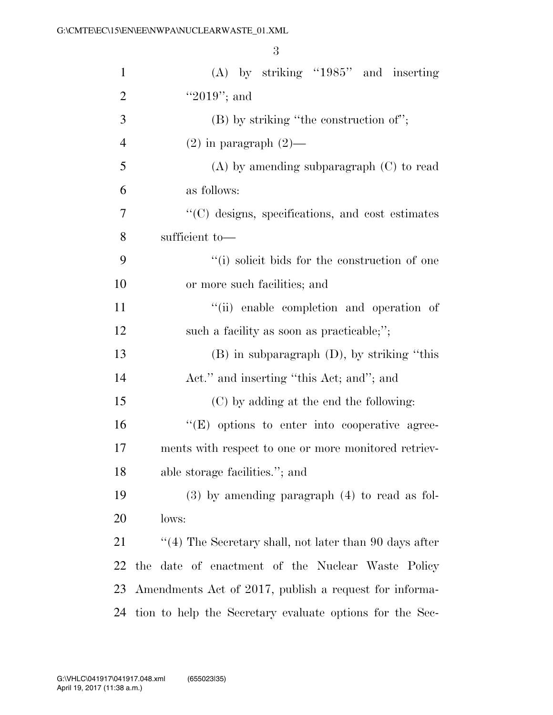| $\mathbf{1}$   | $(A)$ by striking "1985" and inserting                        |
|----------------|---------------------------------------------------------------|
| $\overline{2}$ | "2019"; and                                                   |
| 3              | $(B)$ by striking "the construction of";                      |
| $\overline{4}$ | $(2)$ in paragraph $(2)$ —                                    |
| 5              | $(A)$ by amending subparagraph $(C)$ to read                  |
| 6              | as follows:                                                   |
| 7              | "(C) designs, specifications, and cost estimates              |
| 8              | sufficient to-                                                |
| 9              | "(i) solicit bids for the construction of one                 |
| 10             | or more such facilities; and                                  |
| 11             | "(ii) enable completion and operation of                      |
| 12             | such a facility as soon as practicable;";                     |
| 13             | $(B)$ in subparagraph $(D)$ , by striking "this               |
| 14             | Act." and inserting "this Act; and"; and                      |
| 15             | (C) by adding at the end the following:                       |
| 16             | "(E) options to enter into cooperative agree-                 |
| 17             | ments with respect to one or more monitored retriev-          |
| 18             | able storage facilities."; and                                |
| 19             | $(3)$ by amending paragraph $(4)$ to read as fol-             |
| 20             | lows:                                                         |
| 21             | $\cdot$ (4) The Secretary shall, not later than 90 days after |
| 22             | the date of enactment of the Nuclear Waste Policy             |
| 23             | Amendments Act of 2017, publish a request for informa-        |
| 24             | tion to help the Secretary evaluate options for the Sec-      |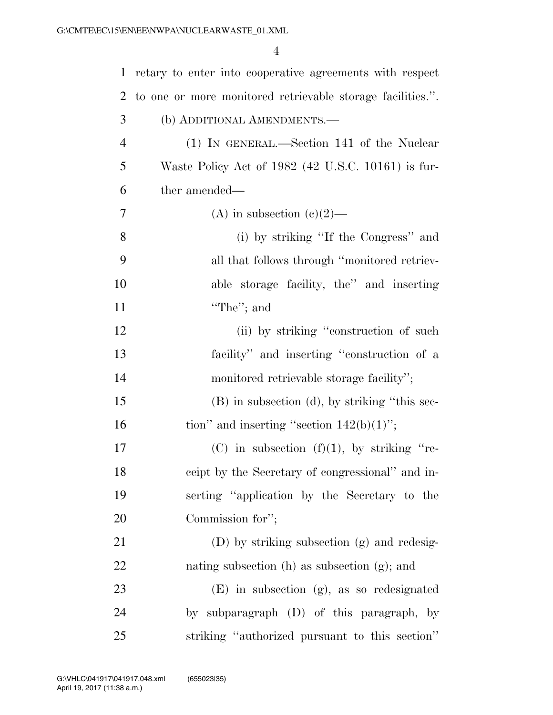| $\mathbf{1}$   | retary to enter into cooperative agreements with respect   |
|----------------|------------------------------------------------------------|
| 2              | to one or more monitored retrievable storage facilities.". |
| 3              | (b) ADDITIONAL AMENDMENTS.-                                |
| $\overline{4}$ | (1) IN GENERAL.—Section 141 of the Nuclear                 |
| 5              | Waste Policy Act of 1982 (42 U.S.C. 10161) is fur-         |
| 6              | ther amended—                                              |
| 7              | (A) in subsection (c)(2)—                                  |
| 8              | (i) by striking "If the Congress" and                      |
| 9              | all that follows through "monitored retriev-               |
| 10             | able storage facility, the" and inserting                  |
| 11             | "The"; and                                                 |
| 12             | (ii) by striking "construction of such                     |
| 13             | facility" and inserting "construction of a                 |
| 14             | monitored retrievable storage facility";                   |
| 15             | (B) in subsection (d), by striking "this sec-              |
| 16             | tion" and inserting "section $142(b)(1)$ ";                |
| 17             | (C) in subsection (f)(1), by striking "re-                 |
| 18             | ceipt by the Secretary of congressional" and in-           |
| 19             | serting "application by the Secretary to the               |
| 20             | Commission for";                                           |
| 21             | (D) by striking subsection (g) and redesig-                |
| 22             | nating subsection $(h)$ as subsection $(g)$ ; and          |
| 23             | $(E)$ in subsection $(g)$ , as so redesignated             |
| 24             | by subparagraph (D) of this paragraph, by                  |
| 25             | striking "authorized pursuant to this section"             |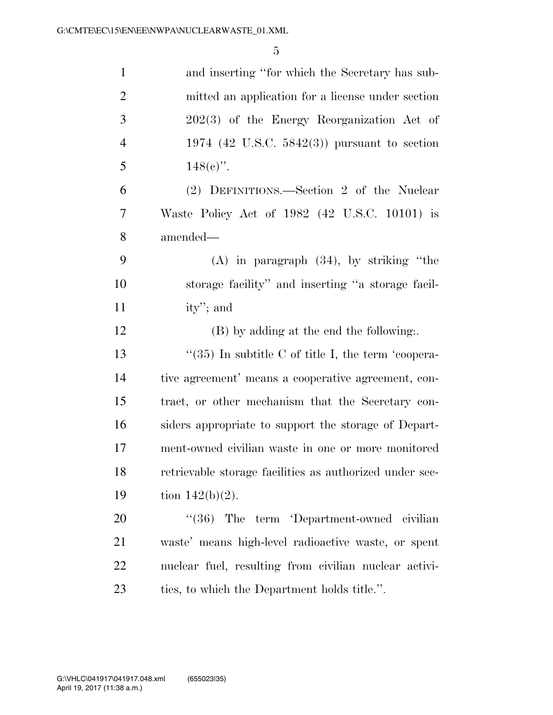| $\mathbf{1}$   | and inserting "for which the Secretary has sub-         |
|----------------|---------------------------------------------------------|
| $\overline{2}$ | mitted an application for a license under section       |
| $\mathfrak{Z}$ | 202(3) of the Energy Reorganization Act of              |
| $\overline{4}$ | 1974 (42 U.S.C. 5842(3)) pursuant to section            |
| 5              | $148(e)$ ".                                             |
| 6              | (2) DEFINITIONS.—Section 2 of the Nuclear               |
| 7              | Waste Policy Act of 1982 (42 U.S.C. 10101) is           |
| 8              | amended—                                                |
| 9              | $(A)$ in paragraph $(34)$ , by striking "the            |
| 10             | storage facility" and inserting "a storage facil-       |
| 11             | ity'; and                                               |
| 12             | (B) by adding at the end the following                  |
| 13             | "(35) In subtitle C of title I, the term 'coopera-      |
| 14             | tive agreement' means a cooperative agreement, con-     |
| 15             | tract, or other mechanism that the Secretary con-       |
| 16             | siders appropriate to support the storage of Depart-    |
| 17             | ment-owned civilian waste in one or more monitored      |
| 18             | retrievable storage facilities as authorized under sec- |
| 19             | tion $142(b)(2)$ .                                      |
| 20             | "(36) The term 'Department-owned civilian               |
| 21             | waste' means high-level radioactive waste, or spent     |
| 22             | nuclear fuel, resulting from civilian nuclear activi-   |
| 23             | ties, to which the Department holds title.".            |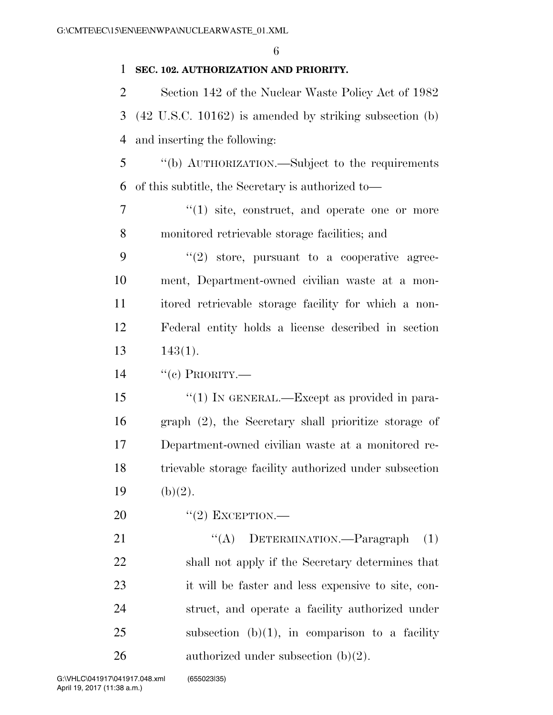### **SEC. 102. AUTHORIZATION AND PRIORITY.**

 Section 142 of the Nuclear Waste Policy Act of 1982 (42 U.S.C. 10162) is amended by striking subsection (b) and inserting the following:

 ''(b) AUTHORIZATION.—Subject to the requirements of this subtitle, the Secretary is authorized to—

7  $\frac{1}{1}$  site, construct, and operate one or more monitored retrievable storage facilities; and

 ''(2) store, pursuant to a cooperative agree- ment, Department-owned civilian waste at a mon- itored retrievable storage facility for which a non- Federal entity holds a license described in section 143(1).

 $14 \cdot$  "(c) PRIORITY.—

 ''(1) IN GENERAL.—Except as provided in para- graph (2), the Secretary shall prioritize storage of Department-owned civilian waste at a monitored re- trievable storage facility authorized under subsection 19 (b)(2).

20 "(2) EXCEPTION.—

21 "(A) DETERMINATION.—Paragraph (1) shall not apply if the Secretary determines that it will be faster and less expensive to site, con- struct, and operate a facility authorized under 25 subsection  $(b)(1)$ , in comparison to a facility 26 authorized under subsection  $(b)(2)$ .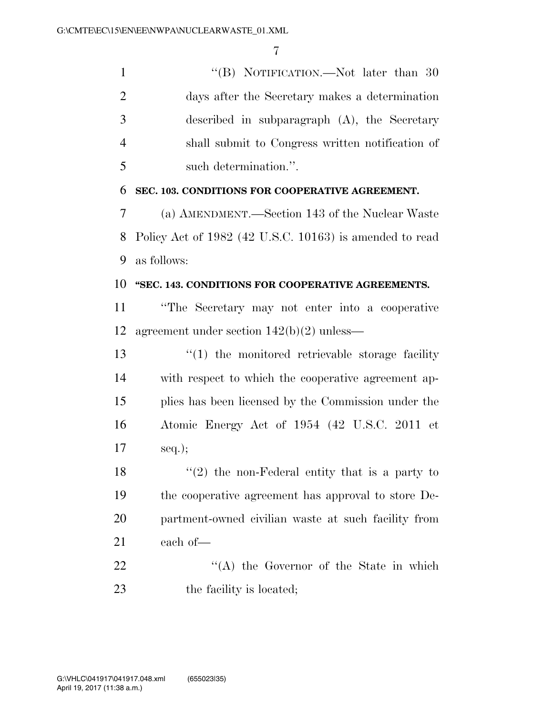1 ''(B) NOTIFICATION.—Not later than 30 days after the Secretary makes a determination described in subparagraph (A), the Secretary shall submit to Congress written notification of such determination.''.

**SEC. 103. CONDITIONS FOR COOPERATIVE AGREEMENT.** 

 (a) AMENDMENT.—Section 143 of the Nuclear Waste Policy Act of 1982 (42 U.S.C. 10163) is amended to read as follows:

### **''SEC. 143. CONDITIONS FOR COOPERATIVE AGREEMENTS.**

 ''The Secretary may not enter into a cooperative agreement under section 142(b)(2) unless—

13 ''(1) the monitored retrievable storage facility with respect to which the cooperative agreement ap- plies has been licensed by the Commission under the Atomic Energy Act of 1954 (42 U.S.C. 2011 et seq.);

 $\frac{1}{2}$  the non-Federal entity that is a party to the cooperative agreement has approval to store De- partment-owned civilian waste at such facility from each of—

22 "'(A) the Governor of the State in which 23 the facility is located;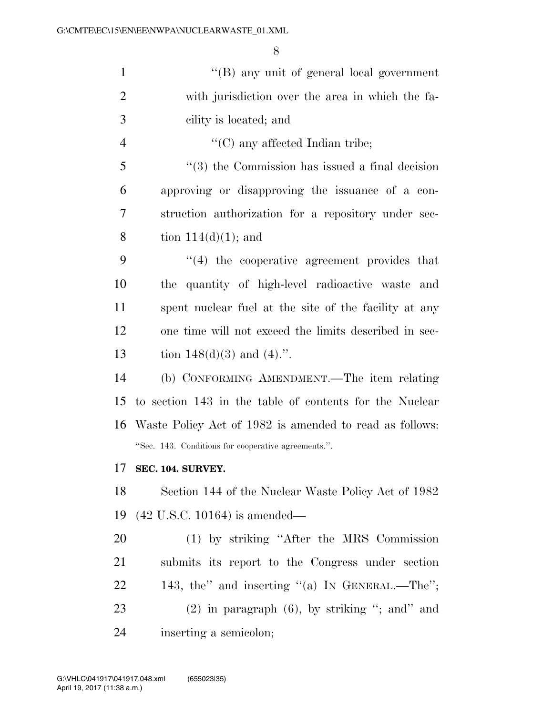| $\mathbf{1}$   | $\lq\lq (B)$ any unit of general local government          |
|----------------|------------------------------------------------------------|
| $\overline{2}$ | with jurisdiction over the area in which the fa-           |
| 3              | cility is located; and                                     |
| $\overline{4}$ | $\lq\lq$ (C) any affected Indian tribe;                    |
| 5              | $\lq(3)$ the Commission has issued a final decision        |
| 6              | approving or disapproving the issuance of a con-           |
| 7              | struction authorization for a repository under sec-        |
| 8              | tion $114(d)(1)$ ; and                                     |
| 9              | $\cdot$ (4) the cooperative agreement provides that        |
| 10             | the quantity of high-level radioactive waste and           |
| 11             | spent nuclear fuel at the site of the facility at any      |
| 12             | one time will not exceed the limits described in sec-      |
| 13             | tion $148(d)(3)$ and $(4)$ .".                             |
| 14             | (b) CONFORMING AMENDMENT.—The item relating                |
| 15             | to section 143 in the table of contents for the Nuclear    |
|                | 16 Waste Policy Act of 1982 is amended to read as follows: |
|                | "Sec. 143. Conditions for cooperative agreements.".        |
| 17             | SEC. 104. SURVEY.                                          |
| 18             | Section 144 of the Nuclear Waste Policy Act of 1982        |
| 19             | $(42 \text{ U.S.C. } 10164)$ is amended—                   |
| 20             | (1) by striking "After the MRS Commission                  |
| 21             | submits its report to the Congress under section           |
| 22             | 143, the" and inserting "(a) IN GENERAL.—The";             |
| 23             | $(2)$ in paragraph $(6)$ , by striking "; and" and         |
| 24             | inserting a semicolon;                                     |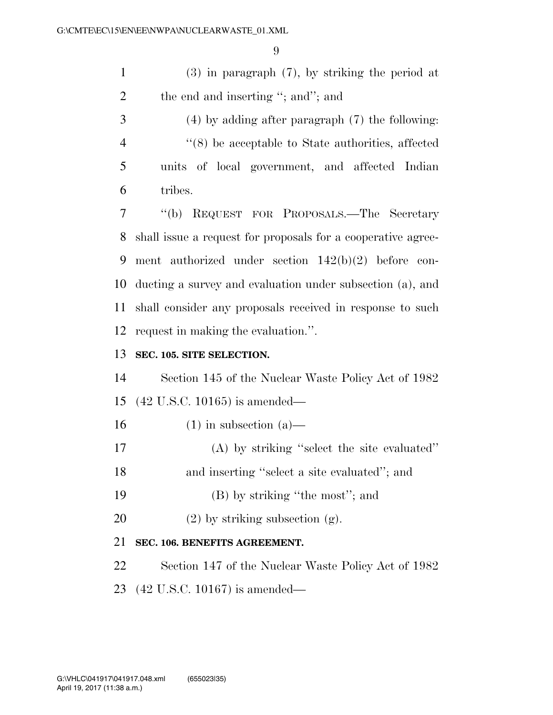(3) in paragraph (7), by striking the period at 2 the end and inserting "; and"; and

 (4) by adding after paragraph (7) the following: ''(8) be acceptable to State authorities, affected units of local government, and affected Indian tribes.

 ''(b) REQUEST FOR PROPOSALS.—The Secretary shall issue a request for proposals for a cooperative agree- ment authorized under section 142(b)(2) before con- ducting a survey and evaluation under subsection (a), and shall consider any proposals received in response to such request in making the evaluation.''.

### **SEC. 105. SITE SELECTION.**

 Section 145 of the Nuclear Waste Policy Act of 1982 (42 U.S.C. 10165) is amended—

- 16 (1) in subsection  $(a)$ —
- (A) by striking ''select the site evaluated''
- and inserting ''select a site evaluated''; and
- 19 (B) by striking "the most"; and
- 20 (2) by striking subsection  $(g)$ .

## **SEC. 106. BENEFITS AGREEMENT.**

- Section 147 of the Nuclear Waste Policy Act of 1982
- (42 U.S.C. 10167) is amended—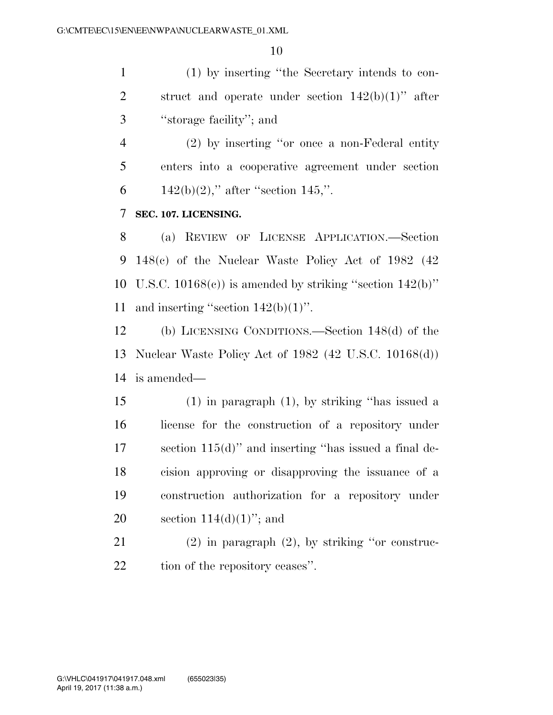(1) by inserting ''the Secretary intends to con-2 struct and operate under section  $142(b)(1)$ " after ''storage facility''; and

 (2) by inserting ''or once a non-Federal entity enters into a cooperative agreement under section 6 142(b)(2)," after "section 145,".

### **SEC. 107. LICENSING.**

 (a) REVIEW OF LICENSE APPLICATION.—Section 148(c) of the Nuclear Waste Policy Act of 1982 (42 10 U.S.C.  $10168(e)$  is amended by striking "section  $142(b)$ " 11 and inserting "section  $142(b)(1)$ ".

 (b) LICENSING CONDITIONS.—Section 148(d) of the Nuclear Waste Policy Act of 1982 (42 U.S.C. 10168(d)) is amended—

 (1) in paragraph (1), by striking ''has issued a license for the construction of a repository under section 115(d)'' and inserting ''has issued a final de- cision approving or disapproving the issuance of a construction authorization for a repository under 20 section  $114(d)(1)$ "; and

 (2) in paragraph (2), by striking ''or construc-22 tion of the repository ceases".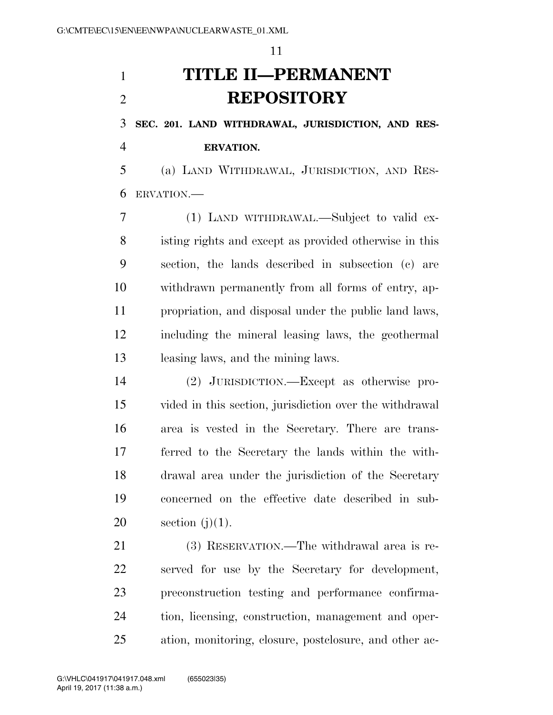# **TITLE II—PERMANENT REPOSITORY**

**SEC. 201. LAND WITHDRAWAL, JURISDICTION, AND RES-**

**ERVATION.** 

 (a) LAND WITHDRAWAL, JURISDICTION, AND RES-ERVATION.—

 (1) LAND WITHDRAWAL.—Subject to valid ex- isting rights and except as provided otherwise in this section, the lands described in subsection (c) are withdrawn permanently from all forms of entry, ap- propriation, and disposal under the public land laws, including the mineral leasing laws, the geothermal leasing laws, and the mining laws.

 (2) JURISDICTION.—Except as otherwise pro- vided in this section, jurisdiction over the withdrawal area is vested in the Secretary. There are trans- ferred to the Secretary the lands within the with- drawal area under the jurisdiction of the Secretary concerned on the effective date described in sub-20 section  $(i)(1)$ .

 (3) RESERVATION.—The withdrawal area is re- served for use by the Secretary for development, preconstruction testing and performance confirma- tion, licensing, construction, management and oper-ation, monitoring, closure, postclosure, and other ac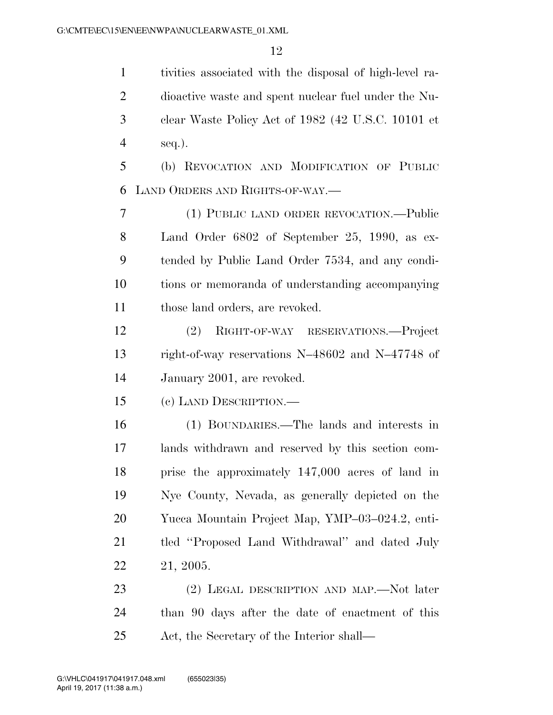tivities associated with the disposal of high-level ra- dioactive waste and spent nuclear fuel under the Nu- clear Waste Policy Act of 1982 (42 U.S.C. 10101 et seq.).

 (b) REVOCATION AND MODIFICATION OF PUBLIC LAND ORDERS AND RIGHTS-OF-WAY.—

 (1) PUBLIC LAND ORDER REVOCATION.—Public Land Order 6802 of September 25, 1990, as ex- tended by Public Land Order 7534, and any condi- tions or memoranda of understanding accompanying those land orders, are revoked.

 (2) RIGHT-OF-WAY RESERVATIONS.—Project right-of-way reservations N–48602 and N–47748 of January 2001, are revoked.

(c) LAND DESCRIPTION.—

 (1) BOUNDARIES.—The lands and interests in lands withdrawn and reserved by this section com- prise the approximately 147,000 acres of land in Nye County, Nevada, as generally depicted on the Yucca Mountain Project Map, YMP–03–024.2, enti- tled ''Proposed Land Withdrawal'' and dated July 21, 2005.

23 (2) LEGAL DESCRIPTION AND MAP.—Not later than 90 days after the date of enactment of this Act, the Secretary of the Interior shall—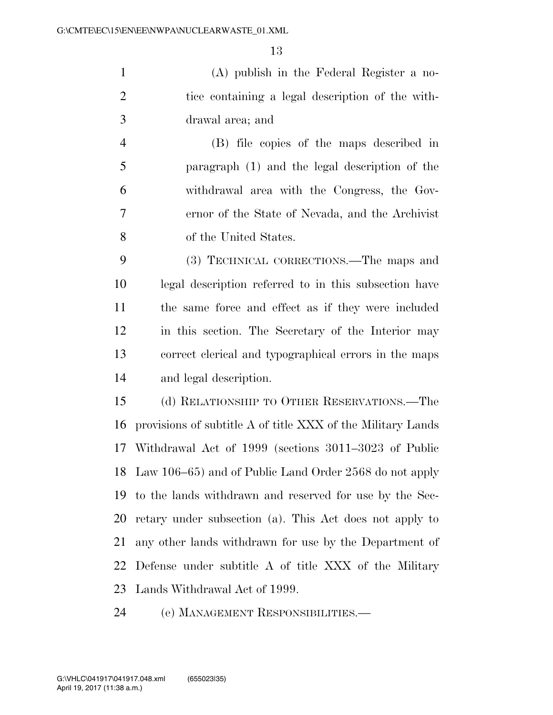(A) publish in the Federal Register a no- tice containing a legal description of the with-drawal area; and

 (B) file copies of the maps described in paragraph (1) and the legal description of the withdrawal area with the Congress, the Gov- ernor of the State of Nevada, and the Archivist of the United States.

 (3) TECHNICAL CORRECTIONS.—The maps and legal description referred to in this subsection have the same force and effect as if they were included in this section. The Secretary of the Interior may correct clerical and typographical errors in the maps and legal description.

 (d) RELATIONSHIP TO OTHER RESERVATIONS.—The provisions of subtitle A of title XXX of the Military Lands Withdrawal Act of 1999 (sections 3011–3023 of Public Law 106–65) and of Public Land Order 2568 do not apply to the lands withdrawn and reserved for use by the Sec- retary under subsection (a). This Act does not apply to any other lands withdrawn for use by the Department of Defense under subtitle A of title XXX of the Military Lands Withdrawal Act of 1999.

(e) MANAGEMENT RESPONSIBILITIES.—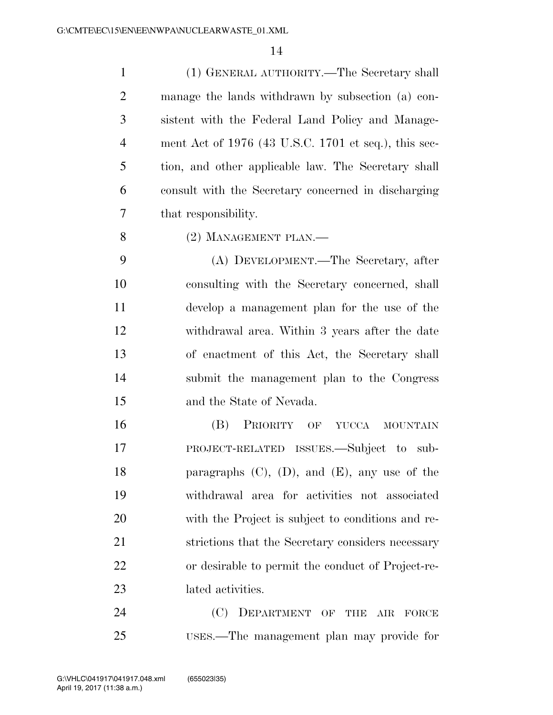(1) GENERAL AUTHORITY.—The Secretary shall manage the lands withdrawn by subsection (a) con- sistent with the Federal Land Policy and Manage- ment Act of 1976 (43 U.S.C. 1701 et seq.), this sec- tion, and other applicable law. The Secretary shall consult with the Secretary concerned in discharging that responsibility.

8 (2) MANAGEMENT PLAN.—

 (A) DEVELOPMENT.—The Secretary, after consulting with the Secretary concerned, shall develop a management plan for the use of the withdrawal area. Within 3 years after the date of enactment of this Act, the Secretary shall submit the management plan to the Congress and the State of Nevada.

 (B) PRIORITY OF YUCCA MOUNTAIN PROJECT-RELATED ISSUES.—Subject to sub- paragraphs (C), (D), and (E), any use of the withdrawal area for activities not associated with the Project is subject to conditions and re- strictions that the Secretary considers necessary or desirable to permit the conduct of Project-re-lated activities.

24 (C) DEPARTMENT OF THE AIR FORCE USES.—The management plan may provide for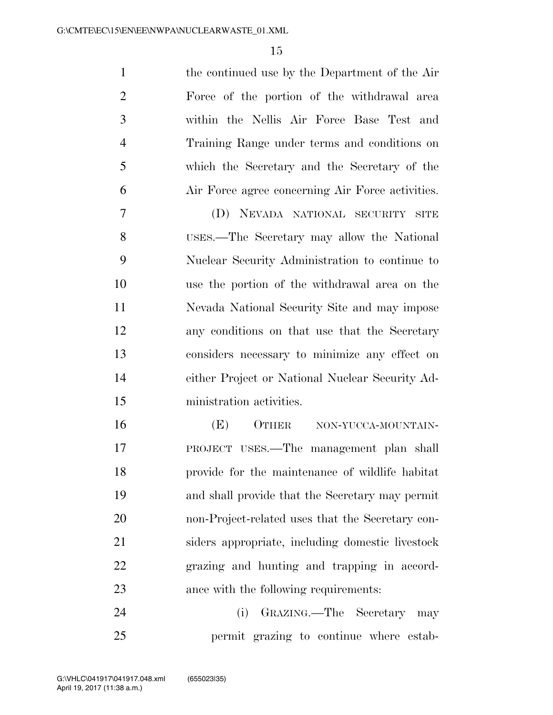the continued use by the Department of the Air Force of the portion of the withdrawal area within the Nellis Air Force Base Test and Training Range under terms and conditions on which the Secretary and the Secretary of the Air Force agree concerning Air Force activities.

 (D) NEVADA NATIONAL SECURITY SITE USES.—The Secretary may allow the National Nuclear Security Administration to continue to use the portion of the withdrawal area on the Nevada National Security Site and may impose any conditions on that use that the Secretary considers necessary to minimize any effect on either Project or National Nuclear Security Ad-ministration activities.

16 (E) OTHER NON-YUCCA-MOUNTAIN- PROJECT USES.—The management plan shall provide for the maintenance of wildlife habitat and shall provide that the Secretary may permit non-Project-related uses that the Secretary con- siders appropriate, including domestic livestock grazing and hunting and trapping in accord-ance with the following requirements:

 (i) GRAZING.—The Secretary may permit grazing to continue where estab-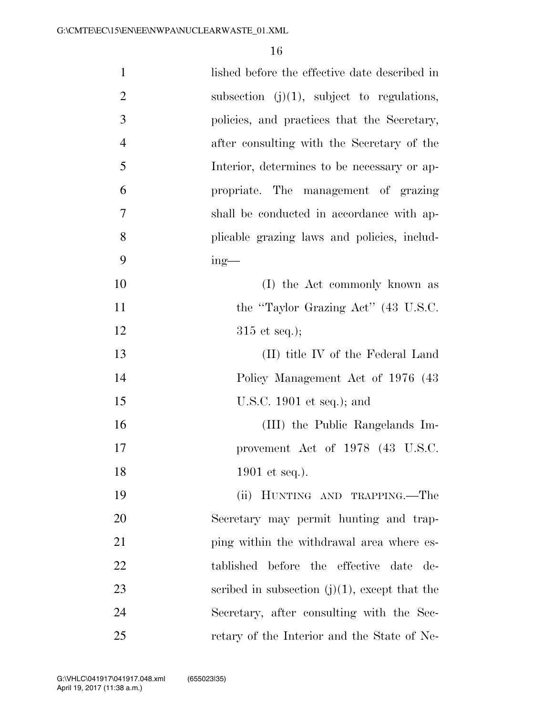| $\mathbf{1}$   | lished before the effective date described in    |
|----------------|--------------------------------------------------|
| $\overline{2}$ | subsection $(j)(1)$ , subject to regulations,    |
| 3              | policies, and practices that the Secretary,      |
| $\overline{4}$ | after consulting with the Secretary of the       |
| 5              | Interior, determines to be necessary or ap-      |
| 6              | propriate. The management of grazing             |
| 7              | shall be conducted in accordance with ap-        |
| 8              | plicable grazing laws and policies, includ-      |
| 9              | $ing$ —                                          |
| 10             | (I) the Act commonly known as                    |
| 11             | the "Taylor Grazing Act" (43 U.S.C.              |
| 12             | $315$ et seq.);                                  |
| 13             | (II) title IV of the Federal Land                |
| 14             | Policy Management Act of 1976 (43                |
| 15             | U.S.C. 1901 et seq.); and                        |
| 16             | (III) the Public Rangelands Im-                  |
| 17             | provement Act of 1978 (43 U.S.C.                 |
| 18             | 1901 et seq.).                                   |
| 19             | (ii) HUNTING AND TRAPPING.—The                   |
| 20             | Secretary may permit hunting and trap-           |
| 21             | ping within the withdrawal area where es-        |
| 22             | tablished before the effective date de-          |
| 23             | scribed in subsection $(j)(1)$ , except that the |
| 24             | Secretary, after consulting with the Sec-        |
| 25             | retary of the Interior and the State of Ne-      |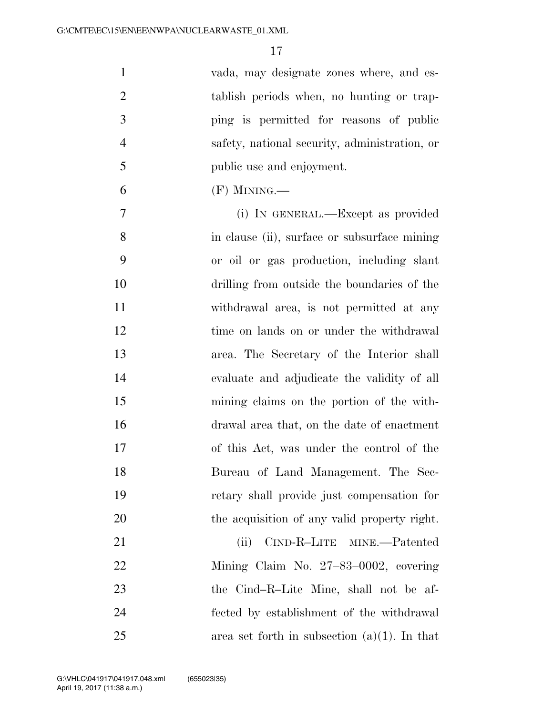| $\mathbf{1}$   | vada, may designate zones where, and es-        |
|----------------|-------------------------------------------------|
| $\overline{2}$ | tablish periods when, no hunting or trap-       |
| 3              | ping is permitted for reasons of public         |
| $\overline{4}$ | safety, national security, administration, or   |
| 5              | public use and enjoyment.                       |
| 6              | $(F)$ MINING.—                                  |
| 7              | (i) IN GENERAL.—Except as provided              |
| 8              | in clause (ii), surface or subsurface mining    |
| 9              | or oil or gas production, including slant       |
| 10             | drilling from outside the boundaries of the     |
| 11             | withdrawal area, is not permitted at any        |
| 12             | time on lands on or under the withdrawal        |
| 13             | area. The Secretary of the Interior shall       |
| 14             | evaluate and adjudicate the validity of all     |
| 15             | mining claims on the portion of the with-       |
| 16             | drawal area that, on the date of enactment      |
| 17             | of this Act, was under the control of the       |
| 18             | Bureau of Land Management. The Sec-             |
| 19             | retary shall provide just compensation for      |
| 20             | the acquisition of any valid property right.    |
| 21             | CIND-R-LITE MINE.—Patented<br>(ii)              |
| 22             | Mining Claim No. 27–83–0002, covering           |
| 23             | the Cind-R-Lite Mine, shall not be af-          |
| 24             | fected by establishment of the withdrawal       |
| 25             | area set forth in subsection $(a)(1)$ . In that |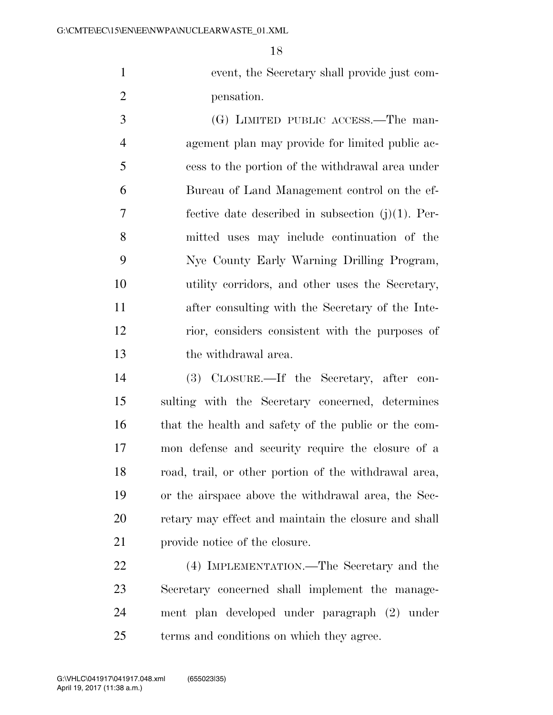event, the Secretary shall provide just com-pensation.

 (G) LIMITED PUBLIC ACCESS.—The man- agement plan may provide for limited public ac- cess to the portion of the withdrawal area under Bureau of Land Management control on the ef- fective date described in subsection (j)(1). Per- mitted uses may include continuation of the Nye County Early Warning Drilling Program, utility corridors, and other uses the Secretary, after consulting with the Secretary of the Inte- rior, considers consistent with the purposes of the withdrawal area.

 (3) CLOSURE.—If the Secretary, after con- sulting with the Secretary concerned, determines that the health and safety of the public or the com- mon defense and security require the closure of a road, trail, or other portion of the withdrawal area, or the airspace above the withdrawal area, the Sec- retary may effect and maintain the closure and shall provide notice of the closure.

 (4) IMPLEMENTATION.—The Secretary and the Secretary concerned shall implement the manage- ment plan developed under paragraph (2) under terms and conditions on which they agree.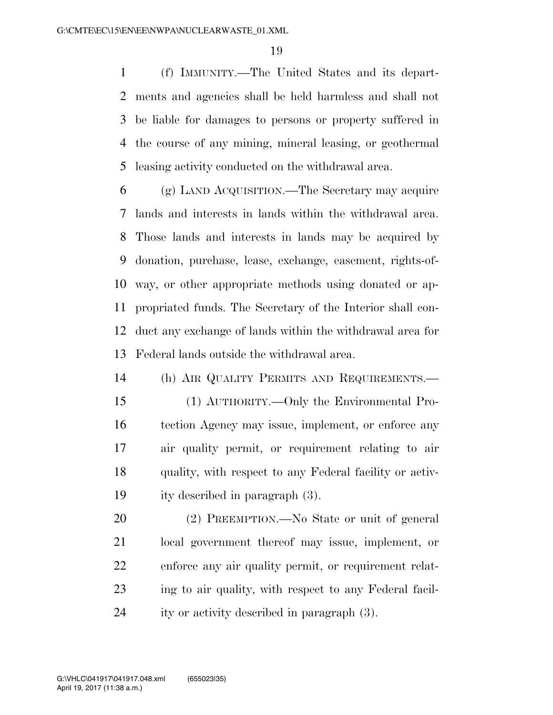(f) IMMUNITY.—The United States and its depart- ments and agencies shall be held harmless and shall not be liable for damages to persons or property suffered in the course of any mining, mineral leasing, or geothermal leasing activity conducted on the withdrawal area.

 (g) LAND ACQUISITION.—The Secretary may acquire lands and interests in lands within the withdrawal area. Those lands and interests in lands may be acquired by donation, purchase, lease, exchange, easement, rights-of- way, or other appropriate methods using donated or ap- propriated funds. The Secretary of the Interior shall con- duct any exchange of lands within the withdrawal area for Federal lands outside the withdrawal area.

 (h) AIR QUALITY PERMITS AND REQUIREMENTS.— (1) AUTHORITY.—Only the Environmental Pro- tection Agency may issue, implement, or enforce any air quality permit, or requirement relating to air quality, with respect to any Federal facility or activ-ity described in paragraph (3).

 (2) PREEMPTION.—No State or unit of general local government thereof may issue, implement, or enforce any air quality permit, or requirement relat- ing to air quality, with respect to any Federal facil-ity or activity described in paragraph (3).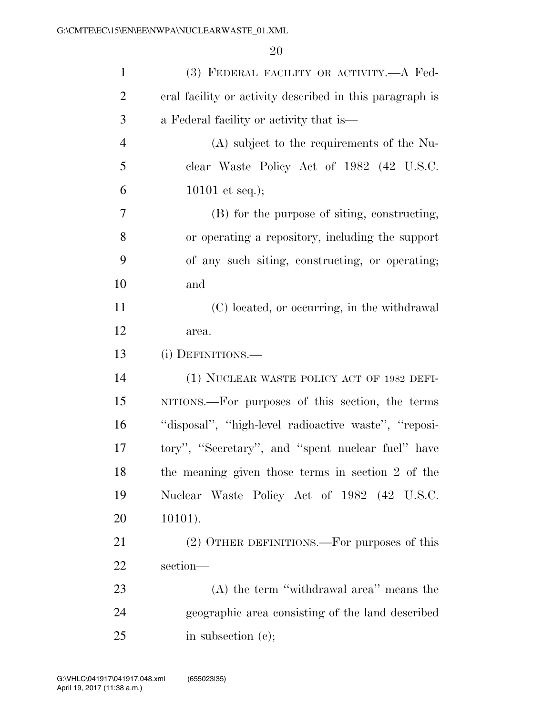| $\mathbf{1}$   | (3) FEDERAL FACILITY OR ACTIVITY.- A Fed-                |
|----------------|----------------------------------------------------------|
| $\overline{2}$ | eral facility or activity described in this paragraph is |
| 3              | a Federal facility or activity that is—                  |
| $\overline{4}$ | (A) subject to the requirements of the Nu-               |
| 5              | clear Waste Policy Act of 1982 (42 U.S.C.                |
| 6              | 10101 et seq.);                                          |
| 7              | (B) for the purpose of siting, constructing,             |
| 8              | or operating a repository, including the support         |
| 9              | of any such siting, constructing, or operating;          |
| 10             | and                                                      |
| 11             | (C) located, or occurring, in the withdrawal             |
| 12             | area.                                                    |
| 13             | (i) DEFINITIONS.—                                        |
| 14             | (1) NUCLEAR WASTE POLICY ACT OF 1982 DEFI-               |
| 15             | NITIONS.—For purposes of this section, the terms         |
| 16             | "disposal", "high-level radioactive waste", "reposi-     |
| 17             | tory", "Secretary", and "spent nuclear fuel" have        |
| 18             | the meaning given those terms in section 2 of the        |
| 19             | Nuclear Waste Policy Act of 1982 (42 U.S.C.              |
| 20             | $10101$ ).                                               |
| 21             | (2) OTHER DEFINITIONS.—For purposes of this              |
| 22             | section-                                                 |
| 23             | $(A)$ the term "withdrawal area" means the               |
| 24             | geographic area consisting of the land described         |
| 25             | in subsection $(e)$ ;                                    |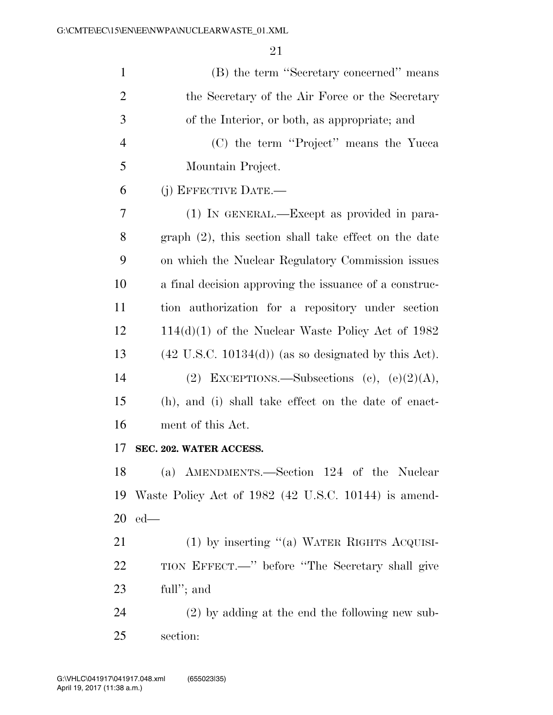| $\mathbf{1}$   | (B) the term "Secretary concerned" means                        |
|----------------|-----------------------------------------------------------------|
| $\overline{2}$ | the Secretary of the Air Force or the Secretary                 |
| 3              | of the Interior, or both, as appropriate; and                   |
| $\overline{4}$ | (C) the term "Project" means the Yucca                          |
| 5              | Mountain Project.                                               |
| 6              | (j) EFFECTIVE DATE.—                                            |
| 7              | (1) IN GENERAL.—Except as provided in para-                     |
| 8              | $graph (2)$ , this section shall take effect on the date        |
| 9              | on which the Nuclear Regulatory Commission issues               |
| 10             | a final decision approving the issuance of a construc-          |
| 11             | tion authorization for a repository under section               |
| 12             | $114(d)(1)$ of the Nuclear Waste Policy Act of 1982             |
| 13             | $(42 \text{ U.S.C. } 10134(d))$ (as so designated by this Act). |
| 14             | (2) EXCEPTIONS.—Subsections (c), $(e)(2)(A)$ ,                  |
| 15             | (h), and (i) shall take effect on the date of enact-            |
| 16             | ment of this Act.                                               |
| 17             | SEC. 202. WATER ACCESS.                                         |
| 18             | (a) AMENDMENTS.—Section 124 of the Nuclear                      |
| 19             | Waste Policy Act of 1982 (42 U.S.C. 10144) is amend-            |
| 20             | $ed$ —                                                          |
| 21             | $(1)$ by inserting "(a) WATER RIGHTS ACQUISI-                   |
| 22             | TION EFFECT.—" before "The Secretary shall give                 |
| 23             | full"; and                                                      |
| 24             | $(2)$ by adding at the end the following new sub-               |
| 25             | section:                                                        |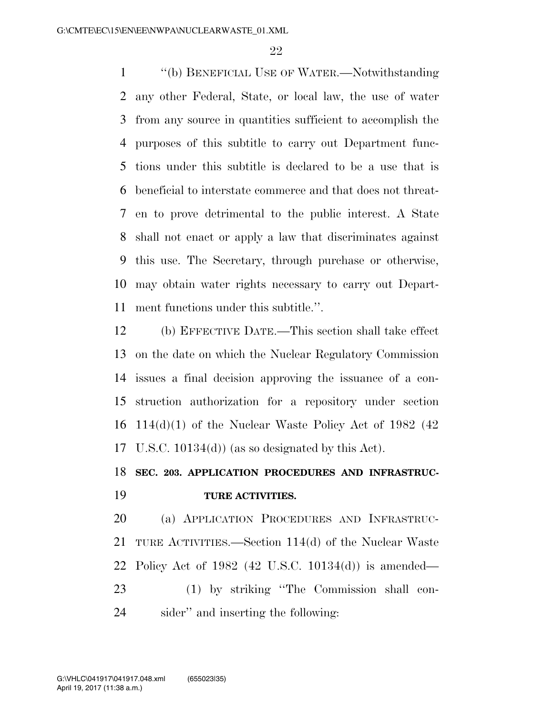''(b) BENEFICIAL USE OF WATER.—Notwithstanding any other Federal, State, or local law, the use of water from any source in quantities sufficient to accomplish the purposes of this subtitle to carry out Department func- tions under this subtitle is declared to be a use that is beneficial to interstate commerce and that does not threat- en to prove detrimental to the public interest. A State shall not enact or apply a law that discriminates against this use. The Secretary, through purchase or otherwise, may obtain water rights necessary to carry out Depart-ment functions under this subtitle.''.

 (b) EFFECTIVE DATE.—This section shall take effect on the date on which the Nuclear Regulatory Commission issues a final decision approving the issuance of a con- struction authorization for a repository under section 16 114(d)(1) of the Nuclear Waste Policy Act of 1982 (42) U.S.C. 10134(d)) (as so designated by this Act).

## **SEC. 203. APPLICATION PROCEDURES AND INFRASTRUC-TURE ACTIVITIES.**

 (a) APPLICATION PROCEDURES AND INFRASTRUC- TURE ACTIVITIES.—Section 114(d) of the Nuclear Waste Policy Act of 1982 (42 U.S.C. 10134(d)) is amended— (1) by striking ''The Commission shall con-

sider'' and inserting the following: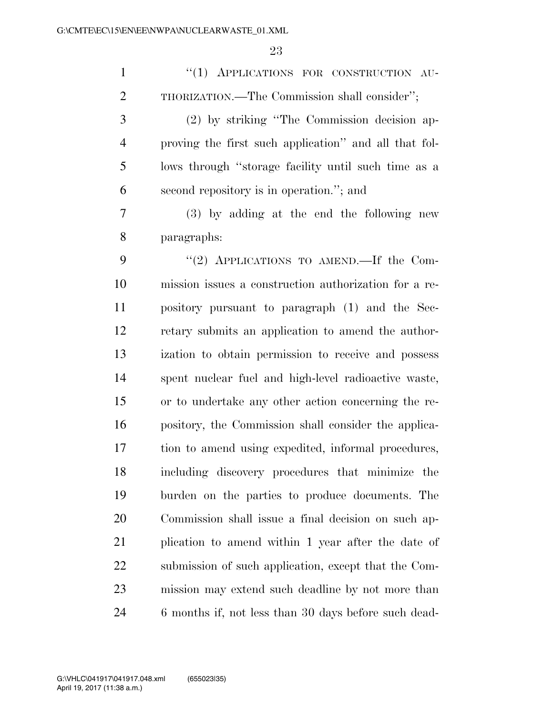| $\mathbf{1}$   | "(1) APPLICATIONS FOR CONSTRUCTION AU-                |
|----------------|-------------------------------------------------------|
| $\overline{2}$ | THORIZATION.—The Commission shall consider";          |
| 3              | (2) by striking "The Commission decision ap-          |
| $\overline{4}$ | proving the first such application" and all that fol- |
| 5              | lows through "storage facility until such time as a   |
| 6              | second repository is in operation."; and              |
| 7              | (3) by adding at the end the following new            |
| 8              | paragraphs:                                           |
| 9              | "(2) APPLICATIONS TO AMEND.—If the Com-               |
| 10             | mission issues a construction authorization for a re- |
| 11             | pository pursuant to paragraph (1) and the Sec-       |
| 12             | retary submits an application to amend the author-    |
| 13             | ization to obtain permission to receive and possess   |
| 14             | spent nuclear fuel and high-level radioactive waste,  |
| 15             | or to undertake any other action concerning the re-   |
| 16             | pository, the Commission shall consider the applica-  |
| 17             | tion to amend using expedited, informal procedures,   |
| 18             | including discovery procedures that minimize the      |
| 19             | burden on the parties to produce documents. The       |
| 20             | Commission shall issue a final decision on such ap-   |
| 21             | plication to amend within 1 year after the date of    |
| 22             | submission of such application, except that the Com-  |
| 23             | mission may extend such deadline by not more than     |
| 24             | 6 months if, not less than 30 days before such dead-  |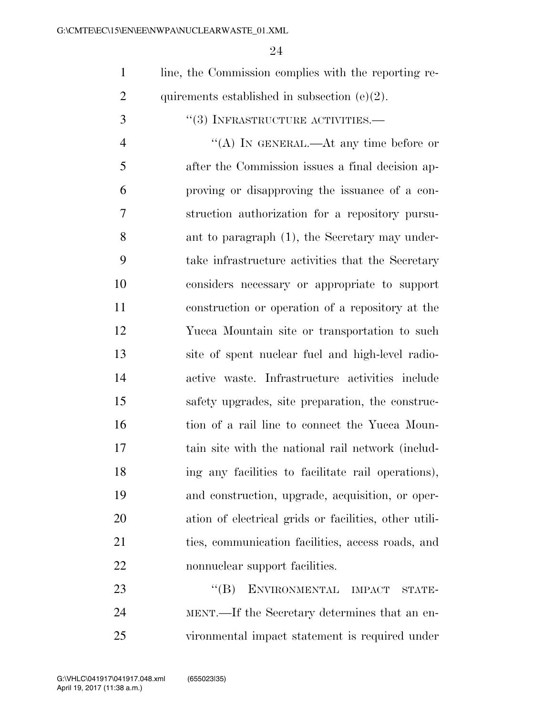line, the Commission complies with the reporting re-2 quirements established in subsection  $(e)(2)$ .

''(3) INFRASTRUCTURE ACTIVITIES.—

4 "(A) IN GENERAL.—At any time before or after the Commission issues a final decision ap- proving or disapproving the issuance of a con- struction authorization for a repository pursu- ant to paragraph (1), the Secretary may under- take infrastructure activities that the Secretary considers necessary or appropriate to support construction or operation of a repository at the Yucca Mountain site or transportation to such site of spent nuclear fuel and high-level radio- active waste. Infrastructure activities include safety upgrades, site preparation, the construc-16 tion of a rail line to connect the Yucca Moun- tain site with the national rail network (includ- ing any facilities to facilitate rail operations), and construction, upgrade, acquisition, or oper- ation of electrical grids or facilities, other utili- ties, communication facilities, access roads, and nonnuclear support facilities.

23 "(B) ENVIRONMENTAL IMPACT STATE- MENT.—If the Secretary determines that an en-vironmental impact statement is required under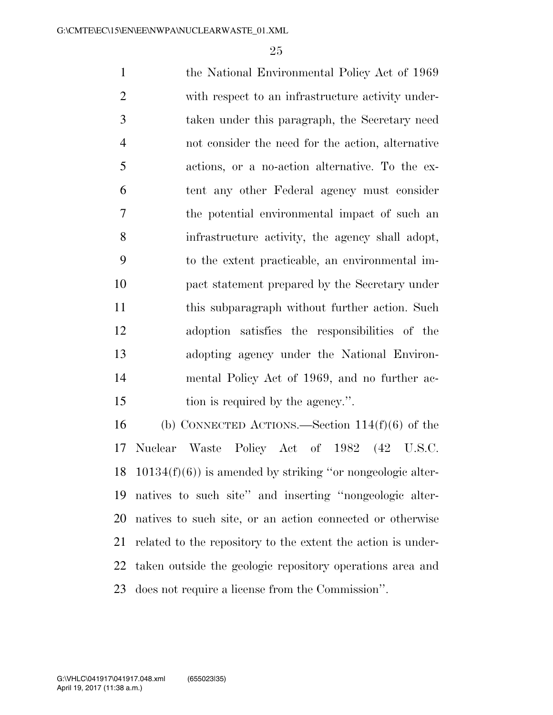the National Environmental Policy Act of 1969 with respect to an infrastructure activity under- taken under this paragraph, the Secretary need not consider the need for the action, alternative actions, or a no-action alternative. To the ex- tent any other Federal agency must consider the potential environmental impact of such an infrastructure activity, the agency shall adopt, to the extent practicable, an environmental im- pact statement prepared by the Secretary under this subparagraph without further action. Such adoption satisfies the responsibilities of the adopting agency under the National Environ- mental Policy Act of 1969, and no further ac-15 tion is required by the agency.".

 (b) CONNECTED ACTIONS.—Section 114(f)(6) of the Nuclear Waste Policy Act of 1982 (42 U.S.C. 10134(f)(6)) is amended by striking ''or nongeologic alter- natives to such site'' and inserting ''nongeologic alter- natives to such site, or an action connected or otherwise related to the repository to the extent the action is under- taken outside the geologic repository operations area and does not require a license from the Commission''.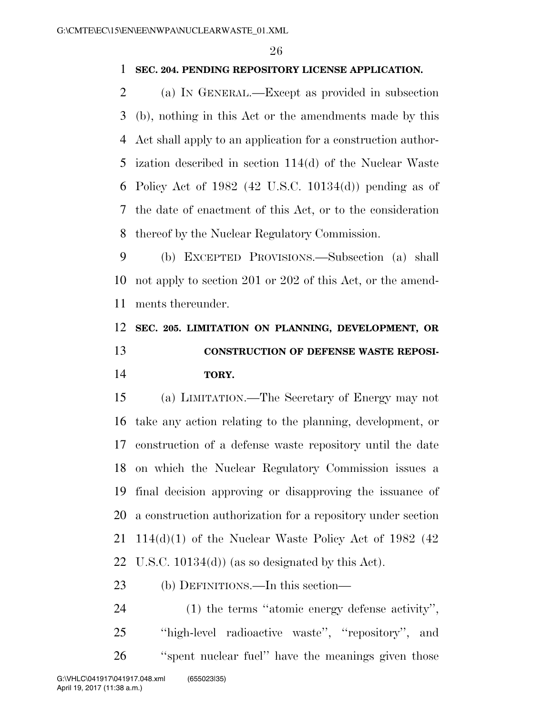### **SEC. 204. PENDING REPOSITORY LICENSE APPLICATION.**

 (a) IN GENERAL.—Except as provided in subsection (b), nothing in this Act or the amendments made by this Act shall apply to an application for a construction author- ization described in section 114(d) of the Nuclear Waste Policy Act of 1982 (42 U.S.C. 10134(d)) pending as of the date of enactment of this Act, or to the consideration thereof by the Nuclear Regulatory Commission.

 (b) EXCEPTED PROVISIONS.—Subsection (a) shall not apply to section 201 or 202 of this Act, or the amend-ments thereunder.

## **SEC. 205. LIMITATION ON PLANNING, DEVELOPMENT, OR CONSTRUCTION OF DEFENSE WASTE REPOSI-TORY.**

 (a) LIMITATION.—The Secretary of Energy may not take any action relating to the planning, development, or construction of a defense waste repository until the date on which the Nuclear Regulatory Commission issues a final decision approving or disapproving the issuance of a construction authorization for a repository under section  $114(d)(1)$  of the Nuclear Waste Policy Act of 1982 (42) U.S.C. 10134(d)) (as so designated by this Act).

(b) DEFINITIONS.—In this section—

 (1) the terms ''atomic energy defense activity'', ''high-level radioactive waste'', ''repository'', and ''spent nuclear fuel'' have the meanings given those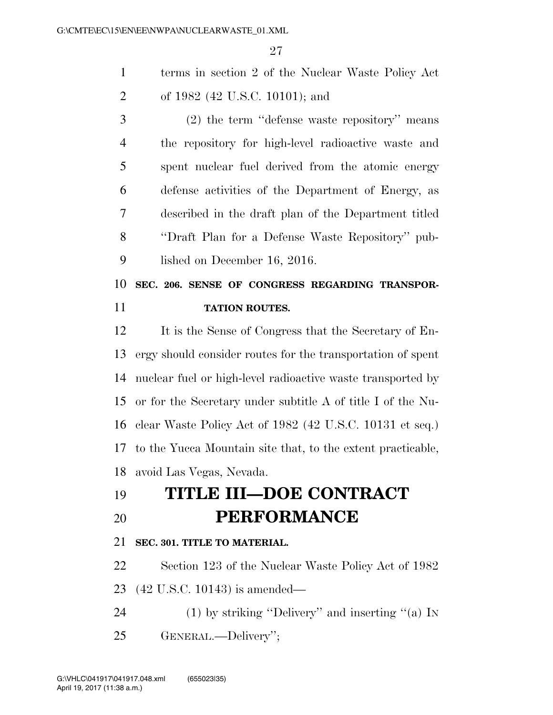terms in section 2 of the Nuclear Waste Policy Act of 1982 (42 U.S.C. 10101); and

 (2) the term ''defense waste repository'' means the repository for high-level radioactive waste and spent nuclear fuel derived from the atomic energy defense activities of the Department of Energy, as described in the draft plan of the Department titled ''Draft Plan for a Defense Waste Repository'' pub-lished on December 16, 2016.

 **SEC. 206. SENSE OF CONGRESS REGARDING TRANSPOR-TATION ROUTES.** 

 It is the Sense of Congress that the Secretary of En- ergy should consider routes for the transportation of spent nuclear fuel or high-level radioactive waste transported by or for the Secretary under subtitle A of title I of the Nu- clear Waste Policy Act of 1982 (42 U.S.C. 10131 et seq.) to the Yucca Mountain site that, to the extent practicable, avoid Las Vegas, Nevada.

# **TITLE III—DOE CONTRACT PERFORMANCE**

### **SEC. 301. TITLE TO MATERIAL.**

 Section 123 of the Nuclear Waste Policy Act of 1982 (42 U.S.C. 10143) is amended—

- (1) by striking ''Delivery'' and inserting ''(a) IN
- GENERAL.—Delivery'';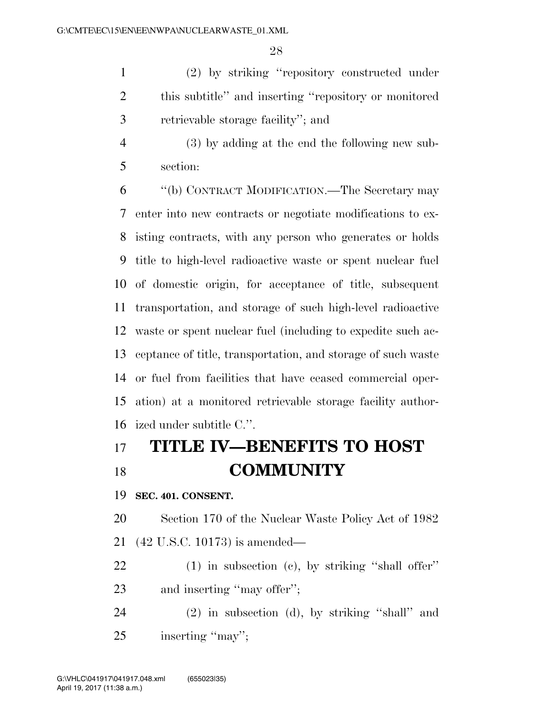(2) by striking ''repository constructed under this subtitle'' and inserting ''repository or monitored retrievable storage facility''; and

 (3) by adding at the end the following new sub-section:

 ''(b) CONTRACT MODIFICATION.—The Secretary may enter into new contracts or negotiate modifications to ex- isting contracts, with any person who generates or holds title to high-level radioactive waste or spent nuclear fuel of domestic origin, for acceptance of title, subsequent transportation, and storage of such high-level radioactive waste or spent nuclear fuel (including to expedite such ac- ceptance of title, transportation, and storage of such waste or fuel from facilities that have ceased commercial oper- ation) at a monitored retrievable storage facility author-ized under subtitle C.''.

# **TITLE IV—BENEFITS TO HOST COMMUNITY**

**SEC. 401. CONSENT.** 

 Section 170 of the Nuclear Waste Policy Act of 1982 (42 U.S.C. 10173) is amended—

 (1) in subsection (c), by striking ''shall offer'' and inserting ''may offer'';

 (2) in subsection (d), by striking ''shall'' and inserting ''may'';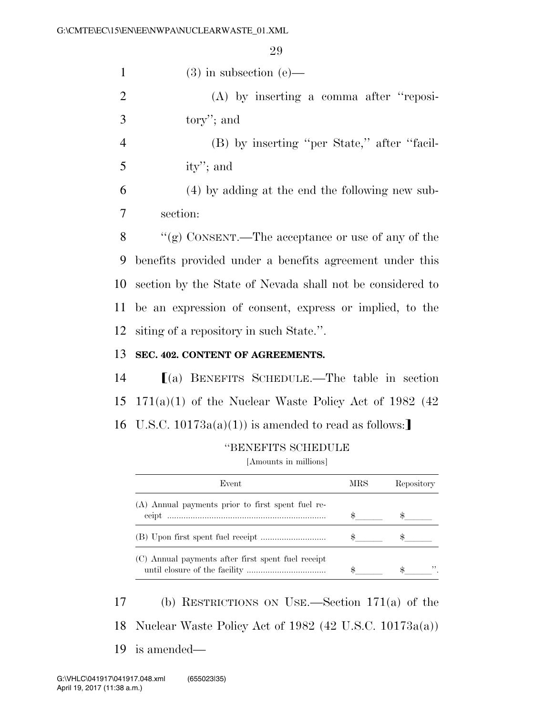| $\mathbf{1}$   | $(3)$ in subsection $(e)$ —                               |
|----------------|-----------------------------------------------------------|
| $\overline{2}$ | $(A)$ by inserting a comma after "reposi-                 |
| 3              | tory"; and                                                |
| $\overline{4}$ | (B) by inserting "per State," after "facil-               |
| 5              | ity''; and                                                |
| 6              | (4) by adding at the end the following new sub-           |
| 7              | section:                                                  |
| 8              | "(g) CONSENT.—The acceptance or use of any of the         |
| 9              | benefits provided under a benefits agreement under this   |
| 10             | section by the State of Nevada shall not be considered to |
| 11             | be an expression of consent, express or implied, to the   |
| 12             | siting of a repository in such State.".                   |
| 13             | SEC. 402. CONTENT OF AGREEMENTS.                          |
| 14             | $(a)$ BENEFITS SCHEDULE.—The table in section             |
| 15             | $171(a)(1)$ of the Nuclear Waste Policy Act of 1982 (42)  |
|                | 16 U.S.C. $10173a(a)(1)$ is amended to read as follows:   |

### ''BENEFITS SCHEDULE

[Amounts in millions]

| Event                                              | MRS | Repository |
|----------------------------------------------------|-----|------------|
| (A) Annual payments prior to first spent fuel re-  |     |            |
|                                                    |     |            |
|                                                    |     |            |
| (C) Annual payments after first spent fuel receipt |     |            |
|                                                    |     |            |

 (b) RESTRICTIONS ON USE.—Section 171(a) of the Nuclear Waste Policy Act of 1982 (42 U.S.C. 10173a(a)) is amended—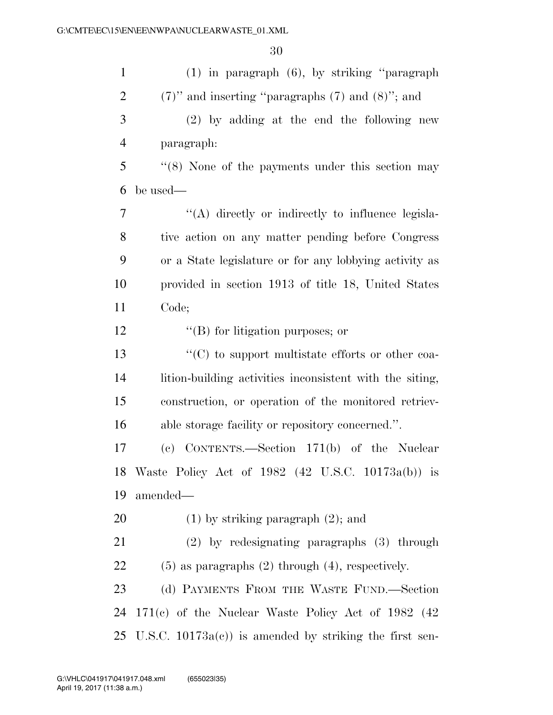| $\mathbf{1}$   | $(1)$ in paragraph $(6)$ , by striking "paragraph            |
|----------------|--------------------------------------------------------------|
| $\overline{2}$ | $(7)$ " and inserting "paragraphs $(7)$ and $(8)$ "; and     |
| 3              | $(2)$ by adding at the end the following new                 |
| $\overline{4}$ | paragraph:                                                   |
| 5              | $\cdot$ (8) None of the payments under this section may      |
| 6              | be used—                                                     |
| $\overline{7}$ | "(A) directly or indirectly to influence legisla-            |
| 8              | tive action on any matter pending before Congress            |
| 9              | or a State legislature or for any lobbying activity as       |
| 10             | provided in section 1913 of title 18, United States          |
| 11             | Code;                                                        |
| 12             | $\lq\lq$ (B) for litigation purposes; or                     |
| 13             | $\cdot\cdot$ (C) to support multistate efforts or other coa- |
| 14             | lition-building activities inconsistent with the siting,     |
| 15             | construction, or operation of the monitored retriev-         |
| 16             | able storage facility or repository concerned.".             |
| 17             | (c) CONTENTS.—Section 171(b) of the Nuclear                  |
|                | 18 Waste Policy Act of 1982 (42 U.S.C. 10173a(b)) is         |
| 19             | amended-                                                     |
| 20             | $(1)$ by striking paragraph $(2)$ ; and                      |
| 21             | $(2)$ by redesignating paragraphs $(3)$ through              |
| 22             | $(5)$ as paragraphs $(2)$ through $(4)$ , respectively.      |
| 23             | (d) PAYMENTS FROM THE WASTE FUND.—Section                    |
| 24             | $171(c)$ of the Nuclear Waste Policy Act of 1982 (42)        |
|                | 25 U.S.C. $10173a(c)$ is amended by striking the first sen-  |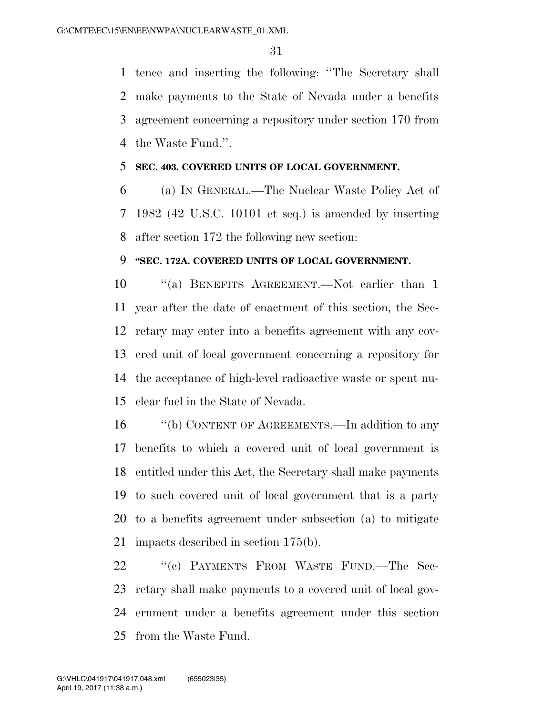tence and inserting the following: ''The Secretary shall make payments to the State of Nevada under a benefits agreement concerning a repository under section 170 from the Waste Fund.''.

### **SEC. 403. COVERED UNITS OF LOCAL GOVERNMENT.**

 (a) IN GENERAL.—The Nuclear Waste Policy Act of 1982 (42 U.S.C. 10101 et seq.) is amended by inserting after section 172 the following new section:

### **''SEC. 172A. COVERED UNITS OF LOCAL GOVERNMENT.**

 ''(a) BENEFITS AGREEMENT.—Not earlier than 1 year after the date of enactment of this section, the Sec- retary may enter into a benefits agreement with any cov- ered unit of local government concerning a repository for the acceptance of high-level radioactive waste or spent nu-clear fuel in the State of Nevada.

16 "(b) CONTENT OF AGREEMENTS.—In addition to any benefits to which a covered unit of local government is entitled under this Act, the Secretary shall make payments to such covered unit of local government that is a party to a benefits agreement under subsection (a) to mitigate impacts described in section 175(b).

22 "(c) PAYMENTS FROM WASTE FUND.—The Sec- retary shall make payments to a covered unit of local gov- ernment under a benefits agreement under this section from the Waste Fund.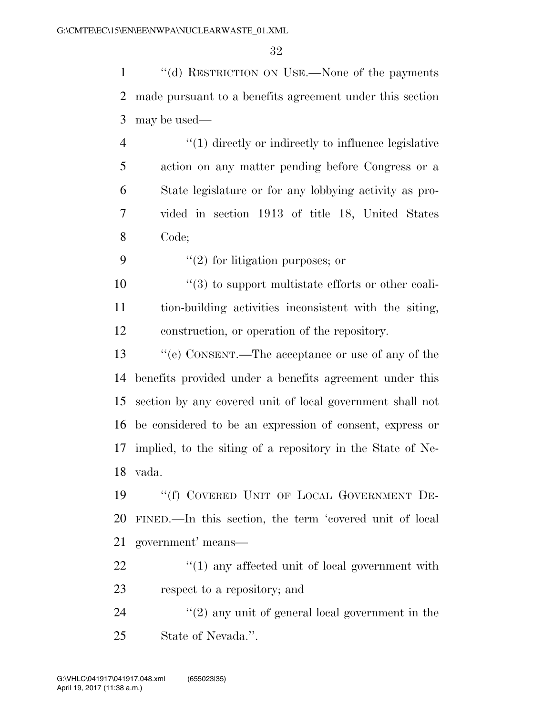''(d) RESTRICTION ON USE.—None of the payments made pursuant to a benefits agreement under this section may be used—

4 "(1) directly or indirectly to influence legislative action on any matter pending before Congress or a State legislature or for any lobbying activity as pro- vided in section 1913 of title 18, United States Code;

9  $\frac{1}{2}$  for litigation purposes; or

 $\frac{10}{20}$  <sup>''</sup>(3) to support multistate efforts or other coali- tion-building activities inconsistent with the siting, construction, or operation of the repository.

 ''(e) CONSENT.—The acceptance or use of any of the benefits provided under a benefits agreement under this section by any covered unit of local government shall not be considered to be an expression of consent, express or implied, to the siting of a repository in the State of Ne-vada.

 ''(f) COVERED UNIT OF LOCAL GOVERNMENT DE- FINED.—In this section, the term 'covered unit of local government' means—

22  $\frac{1}{2}$  (1) any affected unit of local government with respect to a repository; and

24 ''(2) any unit of general local government in the State of Nevada.''.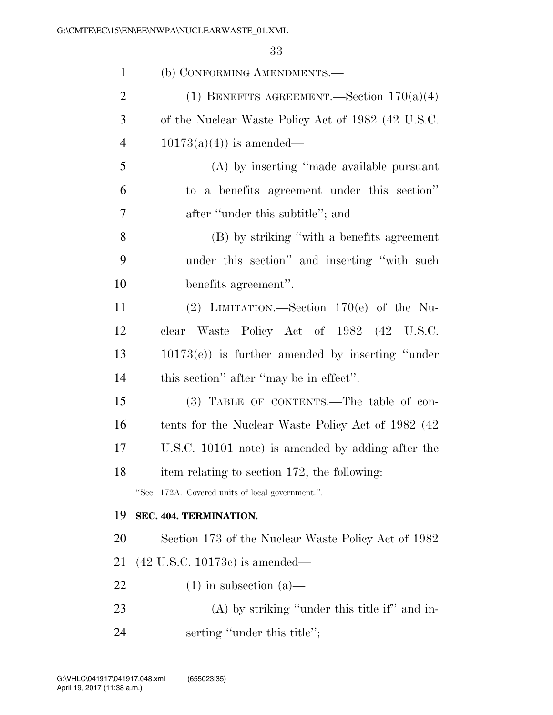| $\mathbf{1}$   | (b) CONFORMING AMENDMENTS.—                          |
|----------------|------------------------------------------------------|
| $\overline{2}$ | (1) BENEFITS AGREEMENT.—Section $170(a)(4)$          |
| 3              | of the Nuclear Waste Policy Act of 1982 (42 U.S.C.   |
| $\overline{4}$ | $10173(a)(4)$ is amended—                            |
| 5              | (A) by inserting "made available pursuant            |
| 6              | to a benefits agreement under this section"          |
| 7              | after "under this subtitle"; and                     |
| 8              | (B) by striking "with a benefits agreement           |
| 9              | under this section" and inserting "with such         |
| 10             | benefits agreement".                                 |
| 11             | (2) LIMITATION.—Section $170(e)$ of the Nu-          |
| 12             | clear Waste Policy Act of 1982 (42 U.S.C.            |
| 13             | $10173(e)$ ) is further amended by inserting "under" |
| 14             | this section" after "may be in effect".              |
| 15             | (3) TABLE OF CONTENTS.—The table of con-             |
| 16             | tents for the Nuclear Waste Policy Act of 1982 (42)  |
| 17             | U.S.C. 10101 note) is amended by adding after the    |
| 18             | item relating to section 172, the following:         |
|                | "Sec. 172A. Covered units of local government.".     |
| 19             | SEC. 404. TERMINATION.                               |
| 20             | Section 173 of the Nuclear Waste Policy Act of 1982  |
| 21             | $(42 \text{ U.S.C. } 10173c)$ is amended—            |
| 22             | $(1)$ in subsection $(a)$ —                          |
| 23             | $(A)$ by striking "under this title if" and in-      |
| 24             | serting "under this title";                          |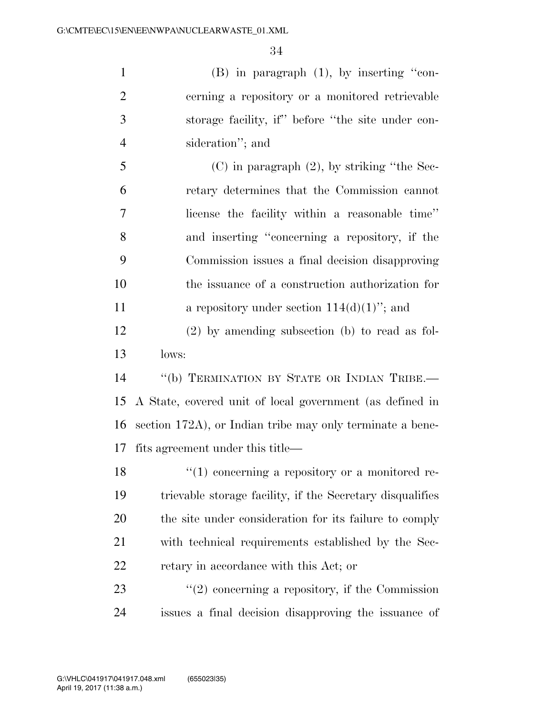(B) in paragraph (1), by inserting ''con- cerning a repository or a monitored retrievable storage facility, if'' before ''the site under con-sideration''; and

 (C) in paragraph  $(2)$ , by striking "the Sec- retary determines that the Commission cannot license the facility within a reasonable time'' and inserting ''concerning a repository, if the Commission issues a final decision disapproving the issuance of a construction authorization for **a** repository under section  $114(d)(1)$ <sup>"</sup>; and

 (2) by amending subsection (b) to read as fol-lows:

 ''(b) TERMINATION BY STATE OR INDIAN TRIBE.— A State, covered unit of local government (as defined in section 172A), or Indian tribe may only terminate a bene-fits agreement under this title—

18 ''(1) concerning a repository or a monitored re- trievable storage facility, if the Secretary disqualifies the site under consideration for its failure to comply with technical requirements established by the Sec-retary in accordance with this Act; or

23 ''(2) concerning a repository, if the Commission issues a final decision disapproving the issuance of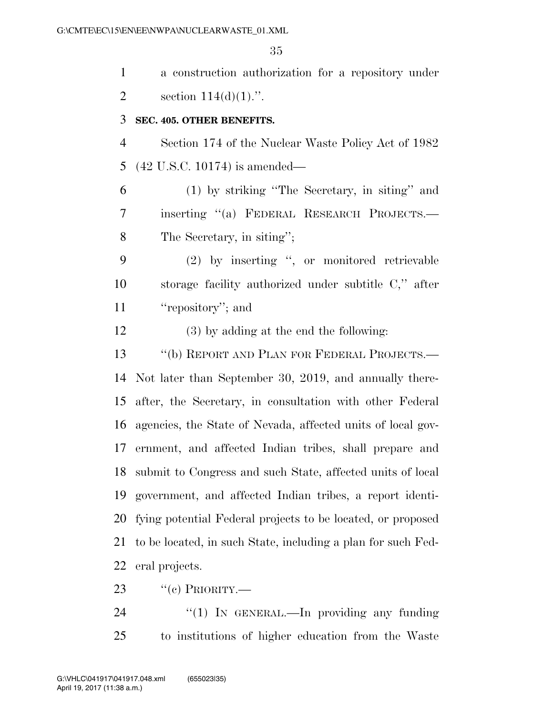| $\mathbf{1}$   | a construction authorization for a repository under           |
|----------------|---------------------------------------------------------------|
| $\overline{2}$ | section $114(d)(1)$ .".                                       |
| 3              | SEC. 405. OTHER BENEFITS.                                     |
| $\overline{4}$ | Section 174 of the Nuclear Waste Policy Act of 1982           |
| 5              | $(42 \text{ U.S.C. } 10174)$ is amended—                      |
| 6              | (1) by striking "The Secretary, in siting" and                |
| 7              | inserting "(a) FEDERAL RESEARCH PROJECTS.-                    |
| 8              | The Secretary, in siting";                                    |
| 9              | (2) by inserting ", or monitored retrievable                  |
| 10             | storage facility authorized under subtitle C," after          |
| 11             | "repository"; and                                             |
| 12             | $(3)$ by adding at the end the following:                     |
| 13             | "(b) REPORT AND PLAN FOR FEDERAL PROJECTS.—                   |
| 14             | Not later than September 30, 2019, and annually there-        |
| 15             | after, the Secretary, in consultation with other Federal      |
| 16             | agencies, the State of Nevada, affected units of local gov-   |
| 17             | ernment, and affected Indian tribes, shall prepare and        |
|                | 18 submit to Congress and such State, affected units of local |
| 19             | government, and affected Indian tribes, a report identi-      |
| 20             | fying potential Federal projects to be located, or proposed   |
| 21             | to be located, in such State, including a plan for such Fed-  |
| 22             | eral projects.                                                |
|                |                                                               |

23  $\text{``(c) PRIORITY}$ .

24 "(1) IN GENERAL.—In providing any funding to institutions of higher education from the Waste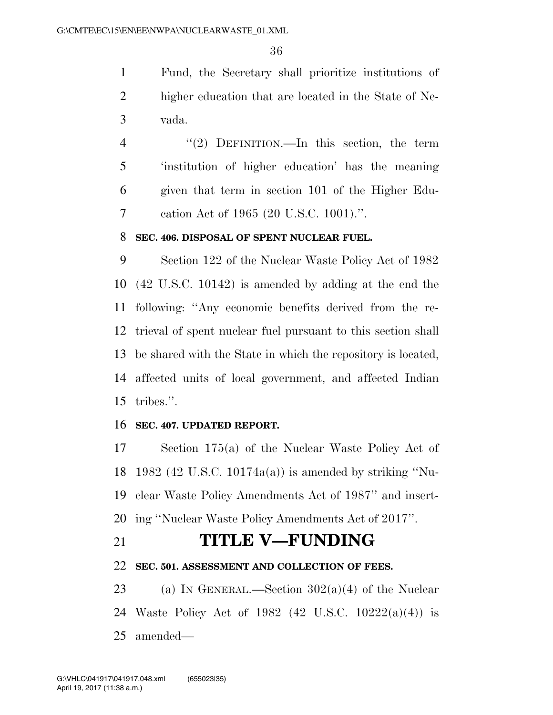Fund, the Secretary shall prioritize institutions of higher education that are located in the State of Ne-vada.

 ''(2) DEFINITION.—In this section, the term 'institution of higher education' has the meaning given that term in section 101 of the Higher Edu-cation Act of 1965 (20 U.S.C. 1001).''.

### **SEC. 406. DISPOSAL OF SPENT NUCLEAR FUEL.**

 Section 122 of the Nuclear Waste Policy Act of 1982 (42 U.S.C. 10142) is amended by adding at the end the following: ''Any economic benefits derived from the re- trieval of spent nuclear fuel pursuant to this section shall be shared with the State in which the repository is located, affected units of local government, and affected Indian tribes.''.

### **SEC. 407. UPDATED REPORT.**

 Section 175(a) of the Nuclear Waste Policy Act of 1982 (42 U.S.C. 10174a(a)) is amended by striking ''Nu- clear Waste Policy Amendments Act of 1987'' and insert-ing ''Nuclear Waste Policy Amendments Act of 2017''.

## **TITLE V—FUNDING**

### **SEC. 501. ASSESSMENT AND COLLECTION OF FEES.**

23 (a) IN GENERAL.—Section  $302(a)(4)$  of the Nuclear Waste Policy Act of 1982 (42 U.S.C. 10222(a)(4)) is amended—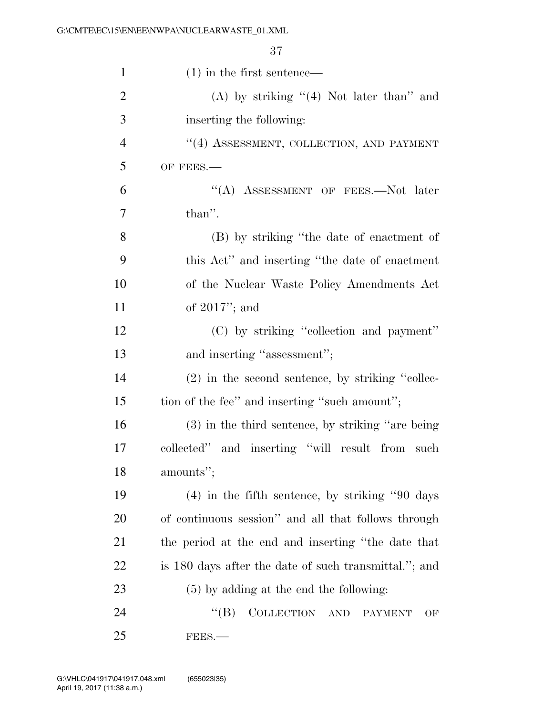| $\mathbf{1}$   | $(1)$ in the first sentence—                          |
|----------------|-------------------------------------------------------|
| $\overline{2}$ | (A) by striking $((4)$ Not later than" and            |
| 3              | inserting the following:                              |
| $\overline{4}$ | $``(4)$ ASSESSMENT, COLLECTION, AND PAYMENT           |
| 5              | OF FEES.-                                             |
| 6              | "(A) ASSESSMENT OF FEES.--Not later                   |
| 7              | than".                                                |
| 8              | (B) by striking "the date of enactment of             |
| 9              | this Act" and inserting "the date of enactment"       |
| 10             | of the Nuclear Waste Policy Amendments Act            |
| 11             | of $2017$ "; and                                      |
| 12             | (C) by striking "collection and payment"              |
| 13             | and inserting "assessment";                           |
| 14             | $(2)$ in the second sentence, by striking "collec-    |
| 15             | tion of the fee" and inserting "such amount";         |
| 16             | (3) in the third sentence, by striking "are being     |
| 17             | collected" and inserting "will result from<br>such    |
| 18             | amounts";                                             |
| 19             | $(4)$ in the fifth sentence, by striking "90 days"    |
| 20             | of continuous session" and all that follows through   |
| <u>21</u>      | the period at the end and inserting "the date that    |
| <u>22</u>      | is 180 days after the date of such transmittal."; and |
| 23             | $(5)$ by adding at the end the following:             |
| 24             | COLLECTION AND<br>$\mathrm{``(B)}$<br>PAYMENT<br>OF   |
| 25             | FEES.                                                 |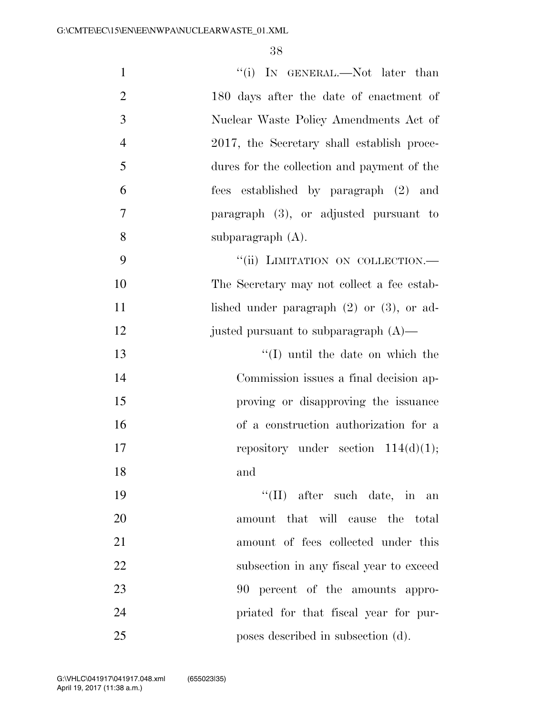| $\mathbf{1}$   | "(i) IN GENERAL.—Not later than                |
|----------------|------------------------------------------------|
| $\overline{2}$ | 180 days after the date of enactment of        |
| 3              | Nuclear Waste Policy Amendments Act of         |
| $\overline{4}$ | 2017, the Secretary shall establish proce-     |
| 5              | dures for the collection and payment of the    |
| 6              | fees established by paragraph (2) and          |
| 7              | paragraph (3), or adjusted pursuant to         |
| 8              | subparagraph $(A)$ .                           |
| 9              | "(ii) LIMITATION ON COLLECTION.-               |
| 10             | The Secretary may not collect a fee estab-     |
| 11             | lished under paragraph $(2)$ or $(3)$ , or ad- |
| 12             | justed pursuant to subparagraph $(A)$ —        |
| 13             | $\lq (I)$ until the date on which the          |
| 14             | Commission issues a final decision ap-         |
| 15             | proving or disapproving the issuance           |
| 16             | of a construction authorization for a          |
| 17             | repository under section $114(d)(1)$ ;         |
| 18             | and                                            |
| 19             | "(II) after such date, in an                   |
| 20             | amount that will cause the total               |
| 21             | amount of fees collected under this            |
| 22             | subsection in any fiscal year to exceed        |
| 23             | 90 percent of the amounts appro-               |
| 24             | priated for that fiscal year for pur-          |
| 25             | poses described in subsection (d).             |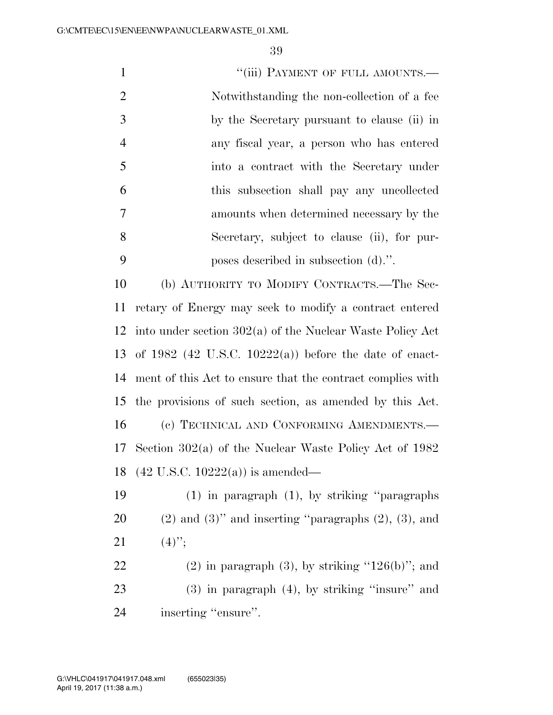1 "(iii) PAYMENT OF FULL AMOUNTS.— Notwithstanding the non-collection of a fee by the Secretary pursuant to clause (ii) in any fiscal year, a person who has entered into a contract with the Secretary under this subsection shall pay any uncollected amounts when determined necessary by the Secretary, subject to clause (ii), for pur- poses described in subsection (d).''. (b) AUTHORITY TO MODIFY CONTRACTS.—The Sec-

 retary of Energy may seek to modify a contract entered into under section 302(a) of the Nuclear Waste Policy Act of 1982 (42 U.S.C. 10222(a)) before the date of enact- ment of this Act to ensure that the contract complies with the provisions of such section, as amended by this Act. (c) TECHNICAL AND CONFORMING AMENDMENTS.— Section 302(a) of the Nuclear Waste Policy Act of 1982 (42 U.S.C. 10222(a)) is amended—

 (1) in paragraph (1), by striking ''paragraphs 20  $(2)$  and  $(3)$ " and inserting "paragraphs  $(2)$ ,  $(3)$ , and 21  $(4)$ ";

22 (2) in paragraph  $(3)$ , by striking "126(b)"; and (3) in paragraph (4), by striking ''insure'' and 24 inserting "ensure".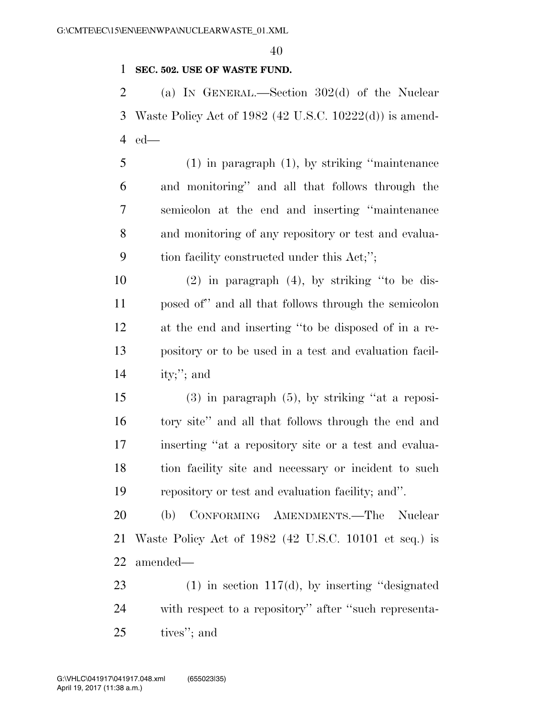### **SEC. 502. USE OF WASTE FUND.**

 (a) IN GENERAL.—Section 302(d) of the Nuclear Waste Policy Act of 1982 (42 U.S.C. 10222(d)) is amend-ed—

 (1) in paragraph (1), by striking ''maintenance and monitoring'' and all that follows through the semicolon at the end and inserting ''maintenance and monitoring of any repository or test and evalua-tion facility constructed under this Act;'';

 (2) in paragraph (4), by striking ''to be dis- posed of'' and all that follows through the semicolon at the end and inserting ''to be disposed of in a re- pository or to be used in a test and evaluation facil-ity;''; and

 (3) in paragraph (5), by striking ''at a reposi- tory site'' and all that follows through the end and inserting ''at a repository site or a test and evalua- tion facility site and necessary or incident to such repository or test and evaluation facility; and''.

 (b) CONFORMING AMENDMENTS.—The Nuclear Waste Policy Act of 1982 (42 U.S.C. 10101 et seq.) is amended—

 (1) in section 117(d), by inserting ''designated with respect to a repository'' after ''such representa-tives''; and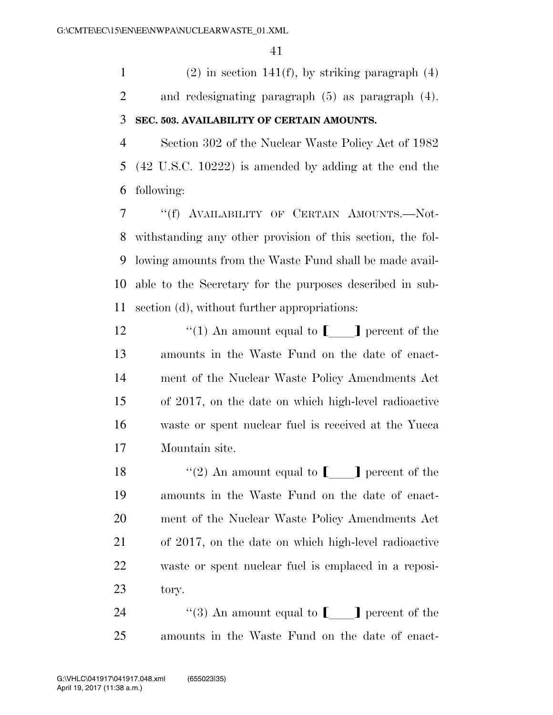1 (2) in section 141(f), by striking paragraph  $(4)$  and redesignating paragraph (5) as paragraph (4). **SEC. 503. AVAILABILITY OF CERTAIN AMOUNTS.** 

 Section 302 of the Nuclear Waste Policy Act of 1982 (42 U.S.C. 10222) is amended by adding at the end the following:

 ''(f) AVAILABILITY OF CERTAIN AMOUNTS.—Not- withstanding any other provision of this section, the fol- lowing amounts from the Waste Fund shall be made avail- able to the Secretary for the purposes described in sub-section (d), without further appropriations:

 $\qquad$  ''(1) An amount equal to  $\Box$  percent of the amounts in the Waste Fund on the date of enact- ment of the Nuclear Waste Policy Amendments Act of 2017, on the date on which high-level radioactive waste or spent nuclear fuel is received at the Yucca Mountain site.

 $\qquad$  ''(2) An amount equal to  $\llbracket \qquad \rrbracket$  percent of the amounts in the Waste Fund on the date of enact- ment of the Nuclear Waste Policy Amendments Act of 2017, on the date on which high-level radioactive waste or spent nuclear fuel is emplaced in a reposi-tory.

24  $\langle \langle 3 \rangle$  An amount equal to **definition** percent of the amounts in the Waste Fund on the date of enact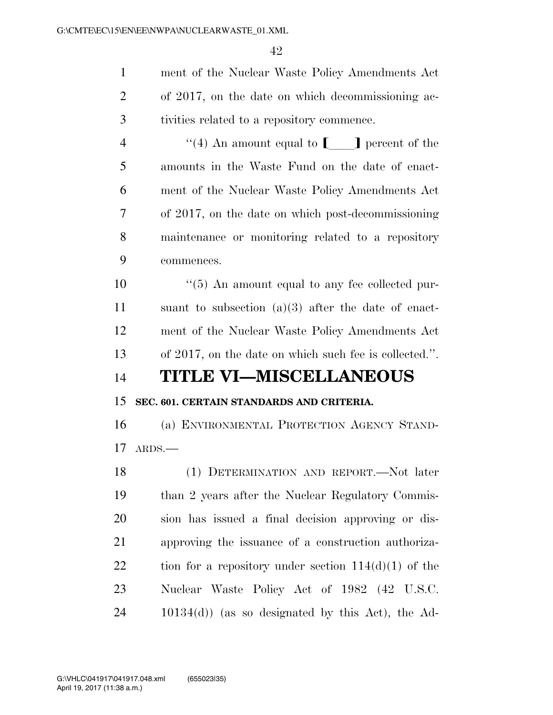ment of the Nuclear Waste Policy Amendments Act of 2017, on the date on which decommissioning ac- tivities related to a repository commence.  $\langle (4) \rangle$  An amount equal to **definition** percent of the amounts in the Waste Fund on the date of enact-

 ment of the Nuclear Waste Policy Amendments Act of 2017, on the date on which post-decommissioning maintenance or monitoring related to a repository commences.

 $\frac{10}{5}$  An amount equal to any fee collected pur- suant to subsection (a)(3) after the date of enact- ment of the Nuclear Waste Policy Amendments Act of 2017, on the date on which such fee is collected.''.

## **TITLE VI—MISCELLANEOUS**

### **SEC. 601. CERTAIN STANDARDS AND CRITERIA.**

 (a) ENVIRONMENTAL PROTECTION AGENCY STAND-ARDS.—

 (1) DETERMINATION AND REPORT.—Not later than 2 years after the Nuclear Regulatory Commis- sion has issued a final decision approving or dis- approving the issuance of a construction authoriza-22 tion for a repository under section  $114(d)(1)$  of the Nuclear Waste Policy Act of 1982 (42 U.S.C. 10134(d)) (as so designated by this Act), the Ad-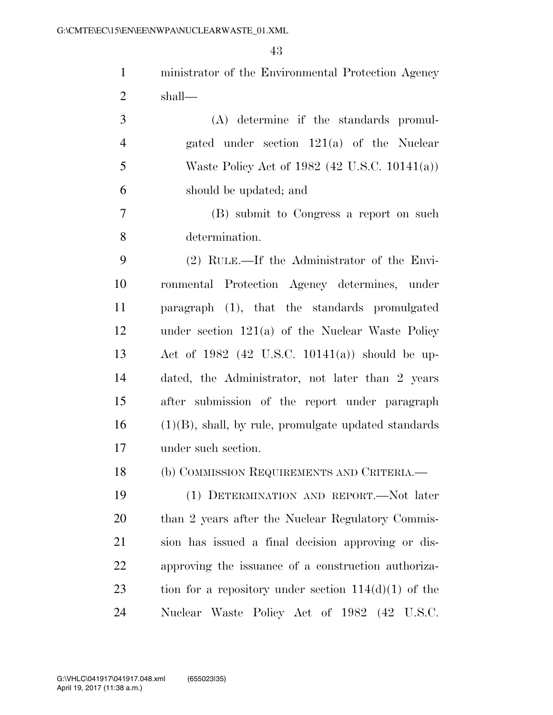|                | 43                                                      |
|----------------|---------------------------------------------------------|
| $\mathbf{1}$   | ministrator of the Environmental Protection Agency      |
| $\overline{2}$ | shall—                                                  |
| 3              | (A) determine if the standards promul-                  |
| $\overline{4}$ | gated under section $121(a)$ of the Nuclear             |
| 5              | Waste Policy Act of 1982 (42 U.S.C. 10141(a))           |
| 6              | should be updated; and                                  |
| 7              | (B) submit to Congress a report on such                 |
| 8              | determination.                                          |
| 9              | (2) RULE.—If the Administrator of the Envi-             |
| 10             | ronmental Protection Agency determines, under           |
| 11             | paragraph (1), that the standards promulgated           |
| 12             | under section $121(a)$ of the Nuclear Waste Policy      |
| 13             | Act of 1982 (42 U.S.C. 10141(a)) should be up-          |
| 14             | dated, the Administrator, not later than 2 years        |
| 15             | after submission of the report under paragraph          |
| 16             | $(1)(B)$ , shall, by rule, promulgate updated standards |
| 17             | under such section.                                     |
| 18             | (b) COMMISSION REQUIREMENTS AND CRITERIA.               |
| 19             | (1) DETERMINATION AND REPORT.—Not later                 |
| 20             | than 2 years after the Nuclear Regulatory Commis-       |
| 21             | sion has issued a final decision approving or dis-      |
| 22             | approving the issuance of a construction authoriza-     |
| 23             | tion for a repository under section $114(d)(1)$ of the  |

Nuclear Waste Policy Act of 1982 (42 U.S.C.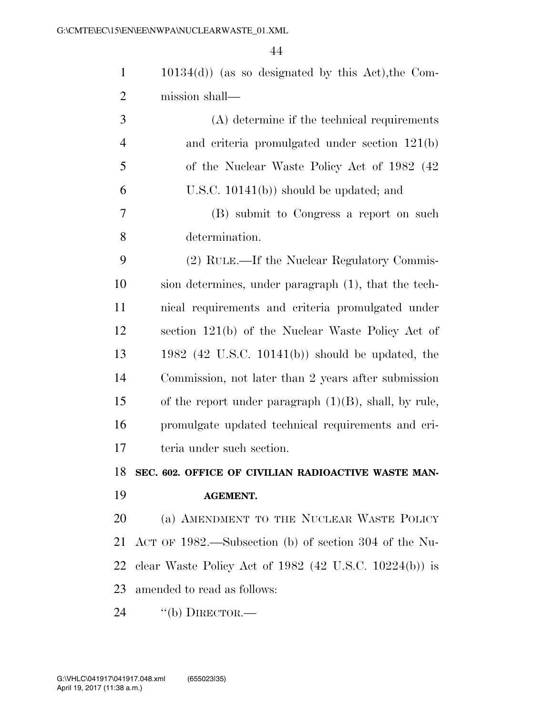| $\mathbf{1}$   | $10134(d)$ (as so designated by this Act), the Com-         |
|----------------|-------------------------------------------------------------|
| $\overline{2}$ | mission shall—                                              |
| 3              | $(A)$ determine if the technical requirements               |
| $\overline{4}$ | and criteria promulgated under section 121(b)               |
| 5              | of the Nuclear Waste Policy Act of 1982 (42)                |
| 6              | U.S.C. $10141(b)$ should be updated; and                    |
| 7              | (B) submit to Congress a report on such                     |
| 8              | determination.                                              |
| 9              | (2) RULE.—If the Nuclear Regulatory Commis-                 |
| 10             | sion determines, under paragraph (1), that the tech-        |
| 11             | nical requirements and criteria promulgated under           |
| 12             | section 121(b) of the Nuclear Waste Policy Act of           |
| 13             | $1982$ (42 U.S.C. 10141(b)) should be updated, the          |
| 14             | Commission, not later than 2 years after submission         |
| 15             | of the report under paragraph $(1)(B)$ , shall, by rule,    |
| 16             | promulgate updated technical requirements and cri-          |
| 17             | teria under such section.                                   |
|                | 18 SEC. 602. OFFICE OF CIVILIAN RADIOACTIVE WASTE MAN-      |
| 19             | <b>AGEMENT.</b>                                             |
| 20             | (a) AMENDMENT TO THE NUCLEAR WASTE POLICY                   |
| 21             | ACT OF 1982.—Subsection (b) of section 304 of the Nu-       |
| 22             | clear Waste Policy Act of $1982$ (42 U.S.C. $10224(b)$ ) is |
| 23             | amended to read as follows:                                 |
| 24             | $``$ (b) DIRECTOR.—                                         |
|                |                                                             |